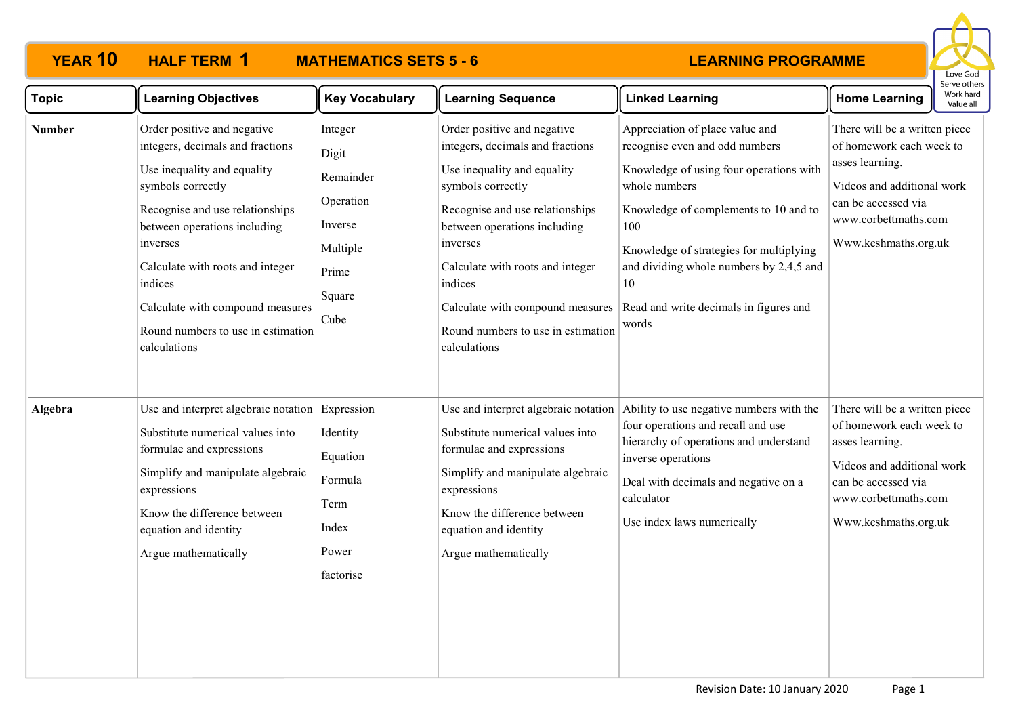

| <b>Topic</b>  | <b>Learning Objectives</b>                                                                                                                                                                                                                                                                                                                  | <b>Key Vocabulary</b>                                                                        | <b>Learning Sequence</b>                                                                                                                                                                                                                                                                                                                    | <b>Linked Learning</b>                                                                                                                                                                                                                                                                                                       | <b>Home Learning</b>                                                                                                                                                              | Work hard<br>Value all |
|---------------|---------------------------------------------------------------------------------------------------------------------------------------------------------------------------------------------------------------------------------------------------------------------------------------------------------------------------------------------|----------------------------------------------------------------------------------------------|---------------------------------------------------------------------------------------------------------------------------------------------------------------------------------------------------------------------------------------------------------------------------------------------------------------------------------------------|------------------------------------------------------------------------------------------------------------------------------------------------------------------------------------------------------------------------------------------------------------------------------------------------------------------------------|-----------------------------------------------------------------------------------------------------------------------------------------------------------------------------------|------------------------|
| <b>Number</b> | Order positive and negative<br>integers, decimals and fractions<br>Use inequality and equality<br>symbols correctly<br>Recognise and use relationships<br>between operations including<br>inverses<br>Calculate with roots and integer<br>indices<br>Calculate with compound measures<br>Round numbers to use in estimation<br>calculations | Integer<br>Digit<br>Remainder<br>Operation<br>Inverse<br>Multiple<br>Prime<br>Square<br>Cube | Order positive and negative<br>integers, decimals and fractions<br>Use inequality and equality<br>symbols correctly<br>Recognise and use relationships<br>between operations including<br>inverses<br>Calculate with roots and integer<br>indices<br>Calculate with compound measures<br>Round numbers to use in estimation<br>calculations | Appreciation of place value and<br>recognise even and odd numbers<br>Knowledge of using four operations with<br>whole numbers<br>Knowledge of complements to 10 and to<br>100<br>Knowledge of strategies for multiplying<br>and dividing whole numbers by 2,4,5 and<br>10<br>Read and write decimals in figures and<br>words | There will be a written piece<br>of homework each week to<br>asses learning.<br>Videos and additional work<br>can be accessed via<br>www.corbettmaths.com<br>Www.keshmaths.org.uk |                        |
| Algebra       | Use and interpret algebraic notation Expression<br>Substitute numerical values into<br>formulae and expressions<br>Simplify and manipulate algebraic<br>expressions<br>Know the difference between<br>equation and identity<br>Argue mathematically                                                                                         | Identity<br>Equation<br>Formula<br>Term<br>Index<br>Power<br>factorise                       | Use and interpret algebraic notation<br>Substitute numerical values into<br>formulae and expressions<br>Simplify and manipulate algebraic<br>expressions<br>Know the difference between<br>equation and identity<br>Argue mathematically                                                                                                    | Ability to use negative numbers with the<br>four operations and recall and use<br>hierarchy of operations and understand<br>inverse operations<br>Deal with decimals and negative on a<br>calculator<br>Use index laws numerically                                                                                           | There will be a written piece<br>of homework each week to<br>asses learning.<br>Videos and additional work<br>can be accessed via<br>www.corbettmaths.com<br>Www.keshmaths.org.uk |                        |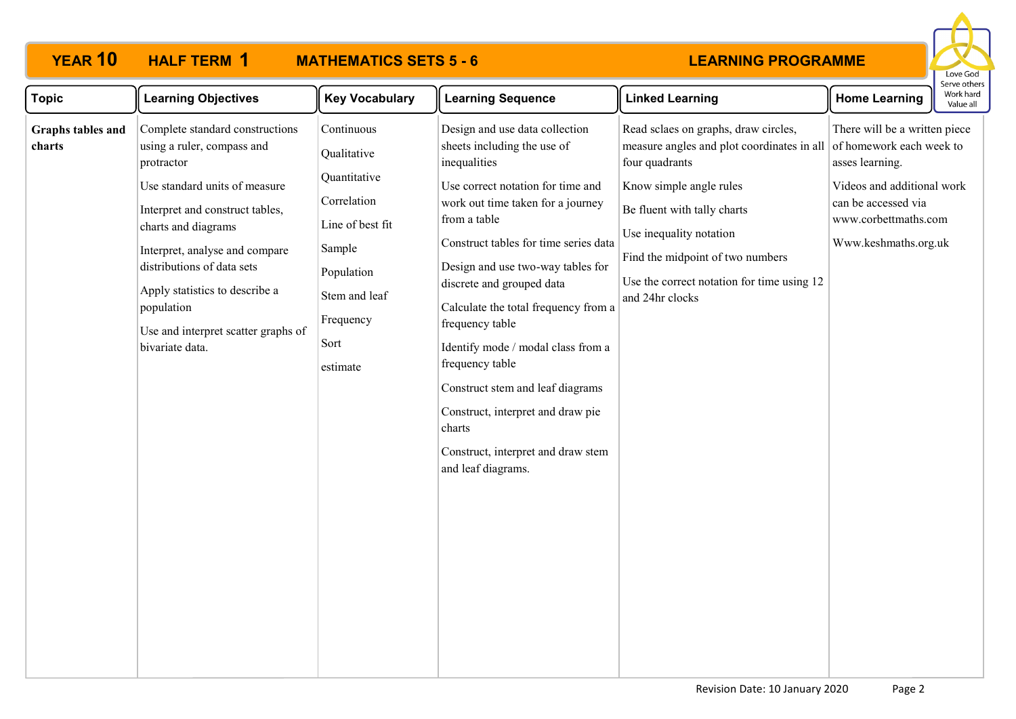

| <b>Topic</b>                | <b>Learning Objectives</b>                                                                                                                                                                                                                                                                                                                       | <b>Key Vocabulary</b>                                                                                                                                  | <b>Learning Sequence</b>                                                                                                                                                                                                                                                                                                                                                                                                                                                        | <b>Linked Learning</b>                                                                                                                                                                                                                                                                                                  | <b>Home Learning</b>                                                                                                                                  | Work hard<br>Value all |
|-----------------------------|--------------------------------------------------------------------------------------------------------------------------------------------------------------------------------------------------------------------------------------------------------------------------------------------------------------------------------------------------|--------------------------------------------------------------------------------------------------------------------------------------------------------|---------------------------------------------------------------------------------------------------------------------------------------------------------------------------------------------------------------------------------------------------------------------------------------------------------------------------------------------------------------------------------------------------------------------------------------------------------------------------------|-------------------------------------------------------------------------------------------------------------------------------------------------------------------------------------------------------------------------------------------------------------------------------------------------------------------------|-------------------------------------------------------------------------------------------------------------------------------------------------------|------------------------|
| Graphs tables and<br>charts | Complete standard constructions<br>using a ruler, compass and<br>protractor<br>Use standard units of measure<br>Interpret and construct tables,<br>charts and diagrams<br>Interpret, analyse and compare<br>distributions of data sets<br>Apply statistics to describe a<br>population<br>Use and interpret scatter graphs of<br>bivariate data. | Continuous<br>Qualitative<br>Quantitative<br>Correlation<br>Line of best fit<br>Sample<br>Population<br>Stem and leaf<br>Frequency<br>Sort<br>estimate | Design and use data collection<br>sheets including the use of<br>inequalities<br>Use correct notation for time and<br>work out time taken for a journey<br>from a table<br>Construct tables for time series data<br>Design and use two-way tables for<br>discrete and grouped data<br>Calculate the total frequency from a<br>frequency table<br>Identify mode / modal class from a<br>frequency table<br>Construct stem and leaf diagrams<br>Construct, interpret and draw pie | Read sclaes on graphs, draw circles,<br>measure angles and plot coordinates in all of homework each week to<br>four quadrants<br>Know simple angle rules<br>Be fluent with tally charts<br>Use inequality notation<br>Find the midpoint of two numbers<br>Use the correct notation for time using 12<br>and 24hr clocks | There will be a written piece<br>asses learning.<br>Videos and additional work<br>can be accessed via<br>www.corbettmaths.com<br>Www.keshmaths.org.uk | סכו עכ טנוופ           |
|                             |                                                                                                                                                                                                                                                                                                                                                  |                                                                                                                                                        | charts<br>Construct, interpret and draw stem<br>and leaf diagrams.                                                                                                                                                                                                                                                                                                                                                                                                              |                                                                                                                                                                                                                                                                                                                         |                                                                                                                                                       |                        |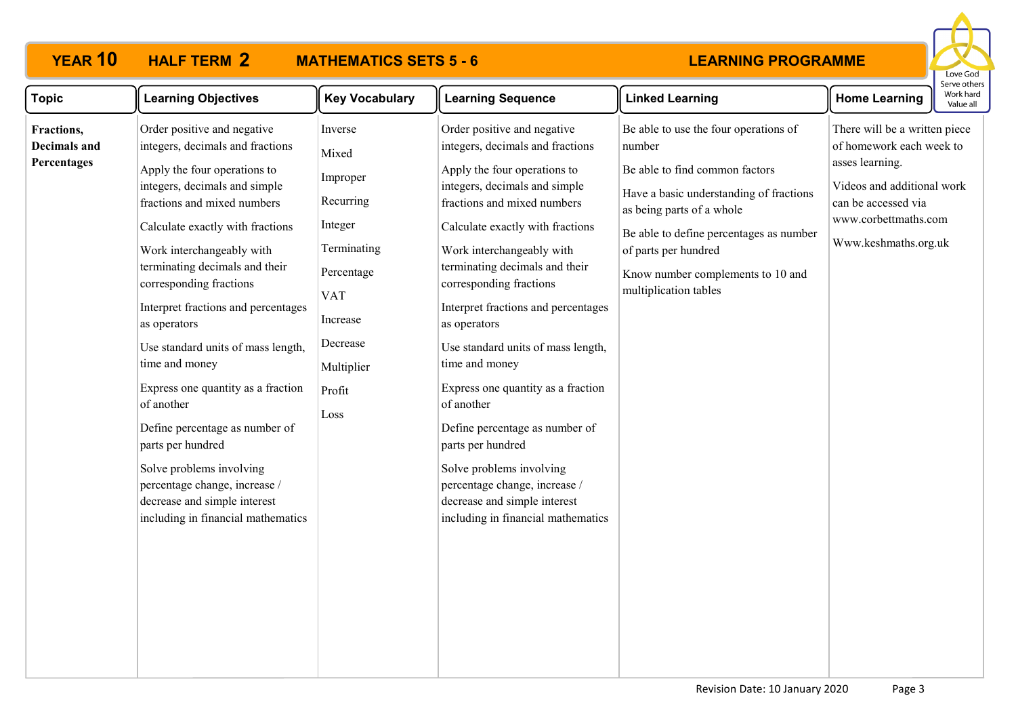# **YEAR 10 HALF TERM MATHEMATICS SETS 5 - 6**



| <b>Topic</b>                                     | <b>Learning Objectives</b>                                                                                                                                                                                                                                                                                                                                                                                                                                                                                                                                                                                                                                 | <b>Key Vocabulary</b>                                                                                                                                   | <b>Learning Sequence</b>                                                                                                                                                                                                                                                                                                                                                                                                                                                                                                                                                                                                                                   | <b>Linked Learning</b>                                                                                                                                                                                                                                                                     | <b>Home Learning</b>                                                                                                                                                              | erve other.<br>Work hard<br>Value all |
|--------------------------------------------------|------------------------------------------------------------------------------------------------------------------------------------------------------------------------------------------------------------------------------------------------------------------------------------------------------------------------------------------------------------------------------------------------------------------------------------------------------------------------------------------------------------------------------------------------------------------------------------------------------------------------------------------------------------|---------------------------------------------------------------------------------------------------------------------------------------------------------|------------------------------------------------------------------------------------------------------------------------------------------------------------------------------------------------------------------------------------------------------------------------------------------------------------------------------------------------------------------------------------------------------------------------------------------------------------------------------------------------------------------------------------------------------------------------------------------------------------------------------------------------------------|--------------------------------------------------------------------------------------------------------------------------------------------------------------------------------------------------------------------------------------------------------------------------------------------|-----------------------------------------------------------------------------------------------------------------------------------------------------------------------------------|---------------------------------------|
| Fractions,<br><b>Decimals and</b><br>Percentages | Order positive and negative<br>integers, decimals and fractions<br>Apply the four operations to<br>integers, decimals and simple<br>fractions and mixed numbers<br>Calculate exactly with fractions<br>Work interchangeably with<br>terminating decimals and their<br>corresponding fractions<br>Interpret fractions and percentages<br>as operators<br>Use standard units of mass length,<br>time and money<br>Express one quantity as a fraction<br>of another<br>Define percentage as number of<br>parts per hundred<br>Solve problems involving<br>percentage change, increase /<br>decrease and simple interest<br>including in financial mathematics | Inverse<br>Mixed<br>Improper<br>Recurring<br>Integer<br>Terminating<br>Percentage<br><b>VAT</b><br>Increase<br>Decrease<br>Multiplier<br>Profit<br>Loss | Order positive and negative<br>integers, decimals and fractions<br>Apply the four operations to<br>integers, decimals and simple<br>fractions and mixed numbers<br>Calculate exactly with fractions<br>Work interchangeably with<br>terminating decimals and their<br>corresponding fractions<br>Interpret fractions and percentages<br>as operators<br>Use standard units of mass length,<br>time and money<br>Express one quantity as a fraction<br>of another<br>Define percentage as number of<br>parts per hundred<br>Solve problems involving<br>percentage change, increase /<br>decrease and simple interest<br>including in financial mathematics | Be able to use the four operations of<br>number<br>Be able to find common factors<br>Have a basic understanding of fractions<br>as being parts of a whole<br>Be able to define percentages as number<br>of parts per hundred<br>Know number complements to 10 and<br>multiplication tables | There will be a written piece<br>of homework each week to<br>asses learning.<br>Videos and additional work<br>can be accessed via<br>www.corbettmaths.com<br>Www.keshmaths.org.uk |                                       |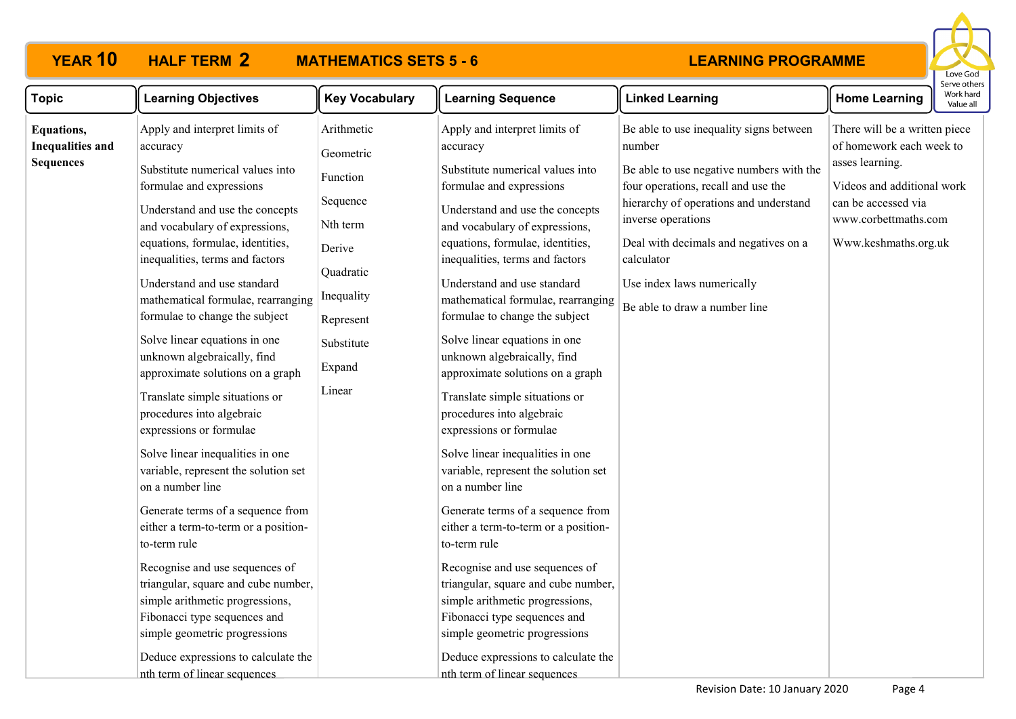# **YEAR 10 HALF TERM MATHEMATICS SETS 5 - 6**



| <b>Topic</b>                                                     | <b>Learning Objectives</b>                                                                                                                                                                                                                                                                                                                                                                                                                                                                                                                                                                                                                                                                                                                                                                                                                                                                                                                                                                                  | <b>Key Vocabulary</b>                                                                                                                           | <b>Learning Sequence</b>                                                                                                                                                                                                                                                                                                                                                                                                                                                                                                                                                                                                                                                                                                                                                                                                                                                                                                                                                                                    | <b>Linked Learning</b>                                                                                                                                                                                                                                                                                                     | <b>Home Learning</b>                                                                                                                                                              | Work har<br>Value al |
|------------------------------------------------------------------|-------------------------------------------------------------------------------------------------------------------------------------------------------------------------------------------------------------------------------------------------------------------------------------------------------------------------------------------------------------------------------------------------------------------------------------------------------------------------------------------------------------------------------------------------------------------------------------------------------------------------------------------------------------------------------------------------------------------------------------------------------------------------------------------------------------------------------------------------------------------------------------------------------------------------------------------------------------------------------------------------------------|-------------------------------------------------------------------------------------------------------------------------------------------------|-------------------------------------------------------------------------------------------------------------------------------------------------------------------------------------------------------------------------------------------------------------------------------------------------------------------------------------------------------------------------------------------------------------------------------------------------------------------------------------------------------------------------------------------------------------------------------------------------------------------------------------------------------------------------------------------------------------------------------------------------------------------------------------------------------------------------------------------------------------------------------------------------------------------------------------------------------------------------------------------------------------|----------------------------------------------------------------------------------------------------------------------------------------------------------------------------------------------------------------------------------------------------------------------------------------------------------------------------|-----------------------------------------------------------------------------------------------------------------------------------------------------------------------------------|----------------------|
| <b>Equations,</b><br><b>Inequalities and</b><br><b>Sequences</b> | Apply and interpret limits of<br>accuracy<br>Substitute numerical values into<br>formulae and expressions<br>Understand and use the concepts<br>and vocabulary of expressions,<br>equations, formulae, identities,<br>inequalities, terms and factors<br>Understand and use standard<br>mathematical formulae, rearranging<br>formulae to change the subject<br>Solve linear equations in one<br>unknown algebraically, find<br>approximate solutions on a graph<br>Translate simple situations or<br>procedures into algebraic<br>expressions or formulae<br>Solve linear inequalities in one<br>variable, represent the solution set<br>on a number line<br>Generate terms of a sequence from<br>either a term-to-term or a position-<br>to-term rule<br>Recognise and use sequences of<br>triangular, square and cube number,<br>simple arithmetic progressions,<br>Fibonacci type sequences and<br>simple geometric progressions<br>Deduce expressions to calculate the<br>nth term of linear sequences | Arithmetic<br>Geometric<br>Function<br>Sequence<br>Nth term<br>Derive<br>Quadratic<br>Inequality<br>Represent<br>Substitute<br>Expand<br>Linear | Apply and interpret limits of<br>accuracy<br>Substitute numerical values into<br>formulae and expressions<br>Understand and use the concepts<br>and vocabulary of expressions,<br>equations, formulae, identities,<br>inequalities, terms and factors<br>Understand and use standard<br>mathematical formulae, rearranging<br>formulae to change the subject<br>Solve linear equations in one<br>unknown algebraically, find<br>approximate solutions on a graph<br>Translate simple situations or<br>procedures into algebraic<br>expressions or formulae<br>Solve linear inequalities in one<br>variable, represent the solution set<br>on a number line<br>Generate terms of a sequence from<br>either a term-to-term or a position-<br>to-term rule<br>Recognise and use sequences of<br>triangular, square and cube number,<br>simple arithmetic progressions,<br>Fibonacci type sequences and<br>simple geometric progressions<br>Deduce expressions to calculate the<br>nth term of linear sequences | Be able to use inequality signs between<br>number<br>Be able to use negative numbers with the<br>four operations, recall and use the<br>hierarchy of operations and understand<br>inverse operations<br>Deal with decimals and negatives on a<br>calculator<br>Use index laws numerically<br>Be able to draw a number line | There will be a written piece<br>of homework each week to<br>asses learning.<br>Videos and additional work<br>can be accessed via<br>www.corbettmaths.com<br>Www.keshmaths.org.uk |                      |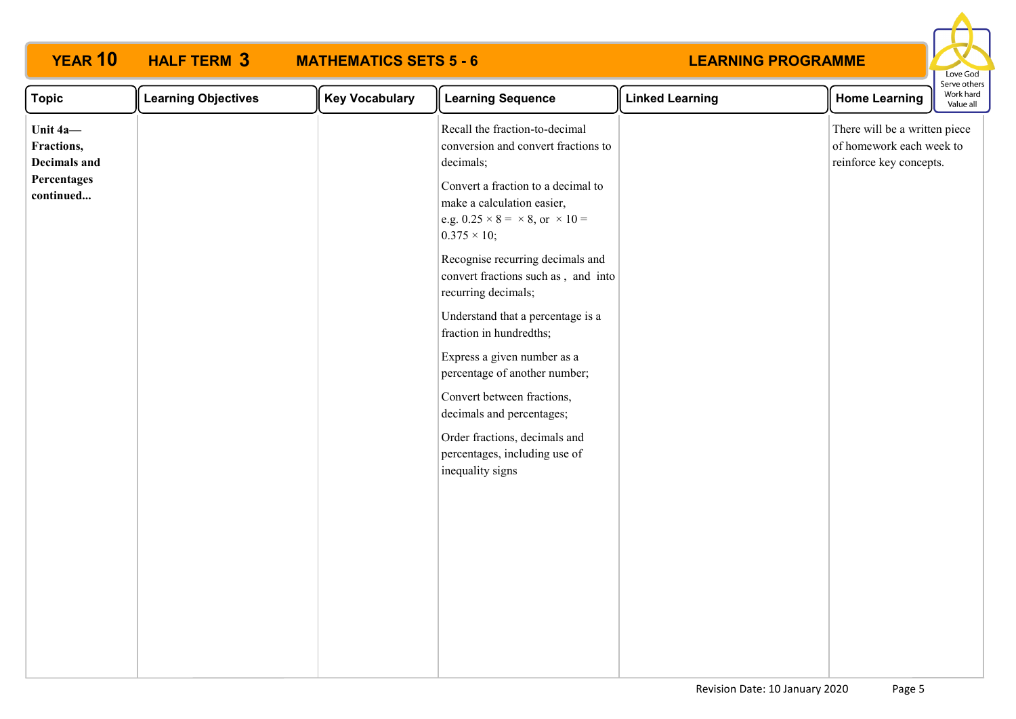| YEAR 10                                | <b>HALF TERM 3</b>         | <b>MATHEMATICS SETS 5 - 6</b> |                                                                                                                                               | <b>LEARNING PROGRAMME</b> |                                                                                      | Love God                               |
|----------------------------------------|----------------------------|-------------------------------|-----------------------------------------------------------------------------------------------------------------------------------------------|---------------------------|--------------------------------------------------------------------------------------|----------------------------------------|
| <b>Topic</b>                           | <b>Learning Objectives</b> | <b>Key Vocabulary</b>         | <b>Learning Sequence</b>                                                                                                                      | <b>Linked Learning</b>    | <b>Home Learning</b>                                                                 | Serve other:<br>Work hard<br>Value all |
| Unit 4a-<br>Fractions,<br>Decimals and |                            |                               | Recall the fraction-to-decimal<br>conversion and convert fractions to<br>decimals;                                                            |                           | There will be a written piece<br>of homework each week to<br>reinforce key concepts. |                                        |
| Percentages<br>continued               |                            |                               | Convert a fraction to a decimal to<br>make a calculation easier,<br>e.g. $0.25 \times 8 = \times 8$ , or $\times 10 =$<br>$0.375 \times 10$ ; |                           |                                                                                      |                                        |
|                                        |                            |                               | Recognise recurring decimals and<br>convert fractions such as, and into<br>recurring decimals;                                                |                           |                                                                                      |                                        |
|                                        |                            |                               | Understand that a percentage is a<br>fraction in hundredths;                                                                                  |                           |                                                                                      |                                        |
|                                        |                            |                               | Express a given number as a<br>percentage of another number;                                                                                  |                           |                                                                                      |                                        |
|                                        |                            |                               | Convert between fractions,<br>decimals and percentages;                                                                                       |                           |                                                                                      |                                        |
|                                        |                            |                               | Order fractions, decimals and<br>percentages, including use of<br>inequality signs                                                            |                           |                                                                                      |                                        |
|                                        |                            |                               |                                                                                                                                               |                           |                                                                                      |                                        |
|                                        |                            |                               |                                                                                                                                               |                           |                                                                                      |                                        |
|                                        |                            |                               |                                                                                                                                               |                           |                                                                                      |                                        |
|                                        |                            |                               |                                                                                                                                               |                           |                                                                                      |                                        |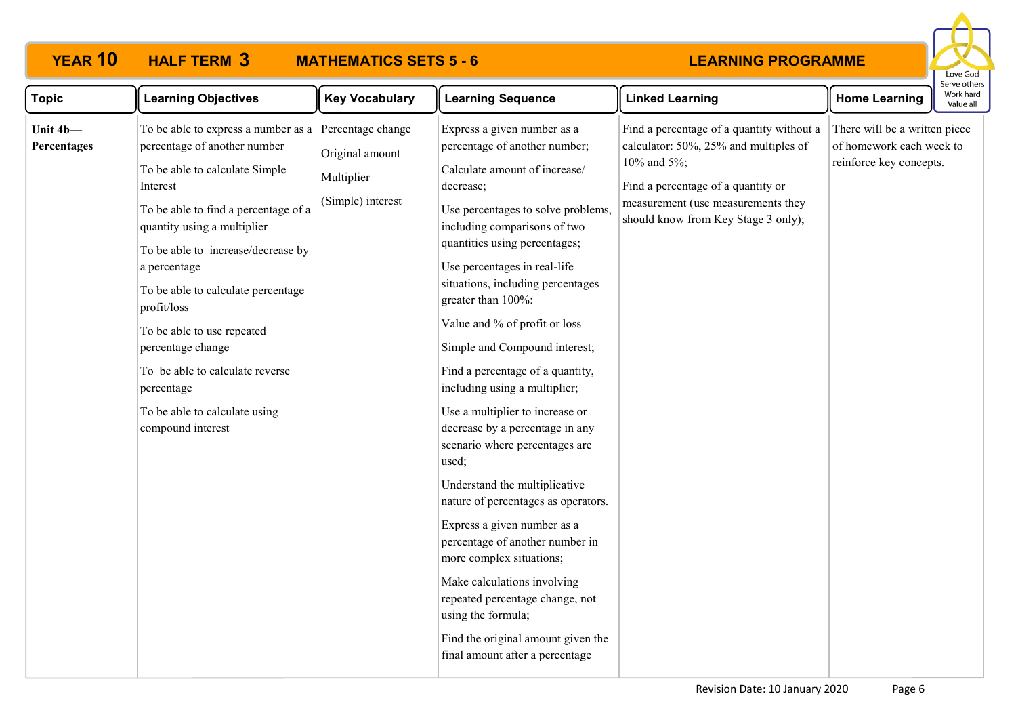

| <b>Topic</b>            | <b>Learning Objectives</b>                                                                                                                                                                                                                                                                                                                                                                                                                                    | <b>Key Vocabulary</b>                                                   | <b>Learning Sequence</b>                                                                                                                                                                                                                                                                                                                                                                                                                                                                                                                                                                                                                                                                                                                                                                                                                                                                                    | <b>Linked Learning</b>                                                                                                                                                                                                   | <b>Home Learning</b>                                                                 | יכו עכ טנווכ<br>Work hard<br>Value all |
|-------------------------|---------------------------------------------------------------------------------------------------------------------------------------------------------------------------------------------------------------------------------------------------------------------------------------------------------------------------------------------------------------------------------------------------------------------------------------------------------------|-------------------------------------------------------------------------|-------------------------------------------------------------------------------------------------------------------------------------------------------------------------------------------------------------------------------------------------------------------------------------------------------------------------------------------------------------------------------------------------------------------------------------------------------------------------------------------------------------------------------------------------------------------------------------------------------------------------------------------------------------------------------------------------------------------------------------------------------------------------------------------------------------------------------------------------------------------------------------------------------------|--------------------------------------------------------------------------------------------------------------------------------------------------------------------------------------------------------------------------|--------------------------------------------------------------------------------------|----------------------------------------|
| Unit 4b-<br>Percentages | To be able to express a number as a<br>percentage of another number<br>To be able to calculate Simple<br>Interest<br>To be able to find a percentage of a<br>quantity using a multiplier<br>To be able to increase/decrease by<br>a percentage<br>To be able to calculate percentage<br>profit/loss<br>To be able to use repeated<br>percentage change<br>To be able to calculate reverse<br>percentage<br>To be able to calculate using<br>compound interest | Percentage change<br>Original amount<br>Multiplier<br>(Simple) interest | Express a given number as a<br>percentage of another number;<br>Calculate amount of increase/<br>decrease;<br>Use percentages to solve problems,<br>including comparisons of two<br>quantities using percentages;<br>Use percentages in real-life<br>situations, including percentages<br>greater than 100%:<br>Value and % of profit or loss<br>Simple and Compound interest;<br>Find a percentage of a quantity,<br>including using a multiplier;<br>Use a multiplier to increase or<br>decrease by a percentage in any<br>scenario where percentages are<br>used;<br>Understand the multiplicative<br>nature of percentages as operators.<br>Express a given number as a<br>percentage of another number in<br>more complex situations;<br>Make calculations involving<br>repeated percentage change, not<br>using the formula;<br>Find the original amount given the<br>final amount after a percentage | Find a percentage of a quantity without a<br>calculator: 50%, 25% and multiples of<br>10% and $5\%$ ;<br>Find a percentage of a quantity or<br>measurement (use measurements they<br>should know from Key Stage 3 only); | There will be a written piece<br>of homework each week to<br>reinforce key concepts. |                                        |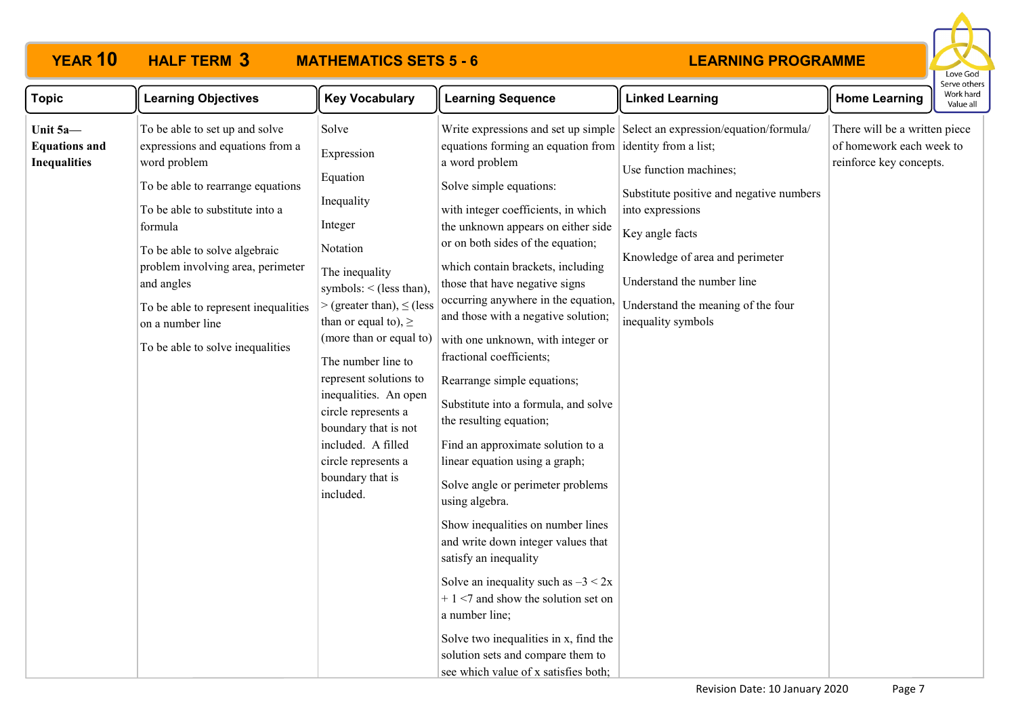# **YEAR 10 HALF TERM MATHEMATICS SETS 5 - 6**



| <b>Topic</b>                                            | <b>Learning Objectives</b>                                                                                                                                                                                                                                                                                                                                | <b>Key Vocabulary</b>                                                                                                                                                                                                                                                                                                                                                                                                          | <b>Learning Sequence</b>                                                                                                                                                                                                                                                                                                                                                                                                                                                                                                                                                                                                                                                                                                                                                                                                                                                                                                                                                                                    | <b>Linked Learning</b>                                                                                                                                                                                                                                                                                               | <b>Home Learning</b>                                                                 | Work hard<br>Value all |
|---------------------------------------------------------|-----------------------------------------------------------------------------------------------------------------------------------------------------------------------------------------------------------------------------------------------------------------------------------------------------------------------------------------------------------|--------------------------------------------------------------------------------------------------------------------------------------------------------------------------------------------------------------------------------------------------------------------------------------------------------------------------------------------------------------------------------------------------------------------------------|-------------------------------------------------------------------------------------------------------------------------------------------------------------------------------------------------------------------------------------------------------------------------------------------------------------------------------------------------------------------------------------------------------------------------------------------------------------------------------------------------------------------------------------------------------------------------------------------------------------------------------------------------------------------------------------------------------------------------------------------------------------------------------------------------------------------------------------------------------------------------------------------------------------------------------------------------------------------------------------------------------------|----------------------------------------------------------------------------------------------------------------------------------------------------------------------------------------------------------------------------------------------------------------------------------------------------------------------|--------------------------------------------------------------------------------------|------------------------|
| Unit 5a-<br><b>Equations and</b><br><b>Inequalities</b> | To be able to set up and solve<br>expressions and equations from a<br>word problem<br>To be able to rearrange equations<br>To be able to substitute into a<br>formula<br>To be able to solve algebraic<br>problem involving area, perimeter<br>and angles<br>To be able to represent inequalities<br>on a number line<br>To be able to solve inequalities | Solve<br>Expression<br>Equation<br>Inequality<br>Integer<br>Notation<br>The inequality<br>symbols: $\le$ (less than),<br>$>(\text{greater than})$ , $\leq$ (less<br>than or equal to), $\geq$<br>(more than or equal to)<br>The number line to<br>represent solutions to<br>inequalities. An open<br>circle represents a<br>boundary that is not<br>included. A filled<br>circle represents a<br>boundary that is<br>included. | equations forming an equation from didentity from a list;<br>a word problem<br>Solve simple equations:<br>with integer coefficients, in which<br>the unknown appears on either side<br>or on both sides of the equation;<br>which contain brackets, including<br>those that have negative signs<br>occurring anywhere in the equation,<br>and those with a negative solution;<br>with one unknown, with integer or<br>fractional coefficients;<br>Rearrange simple equations;<br>Substitute into a formula, and solve<br>the resulting equation;<br>Find an approximate solution to a<br>linear equation using a graph;<br>Solve angle or perimeter problems<br>using algebra.<br>Show inequalities on number lines<br>and write down integer values that<br>satisfy an inequality<br>Solve an inequality such as $-3 < 2x$<br>$+1$ <7 and show the solution set on<br>a number line;<br>Solve two inequalities in x, find the<br>solution sets and compare them to<br>see which value of x satisfies both; | Write expressions and set up simple Select an expression/equation/formula/<br>Use function machines;<br>Substitute positive and negative numbers<br>into expressions<br>Key angle facts<br>Knowledge of area and perimeter<br>Understand the number line<br>Understand the meaning of the four<br>inequality symbols | There will be a written piece<br>of homework each week to<br>reinforce key concepts. |                        |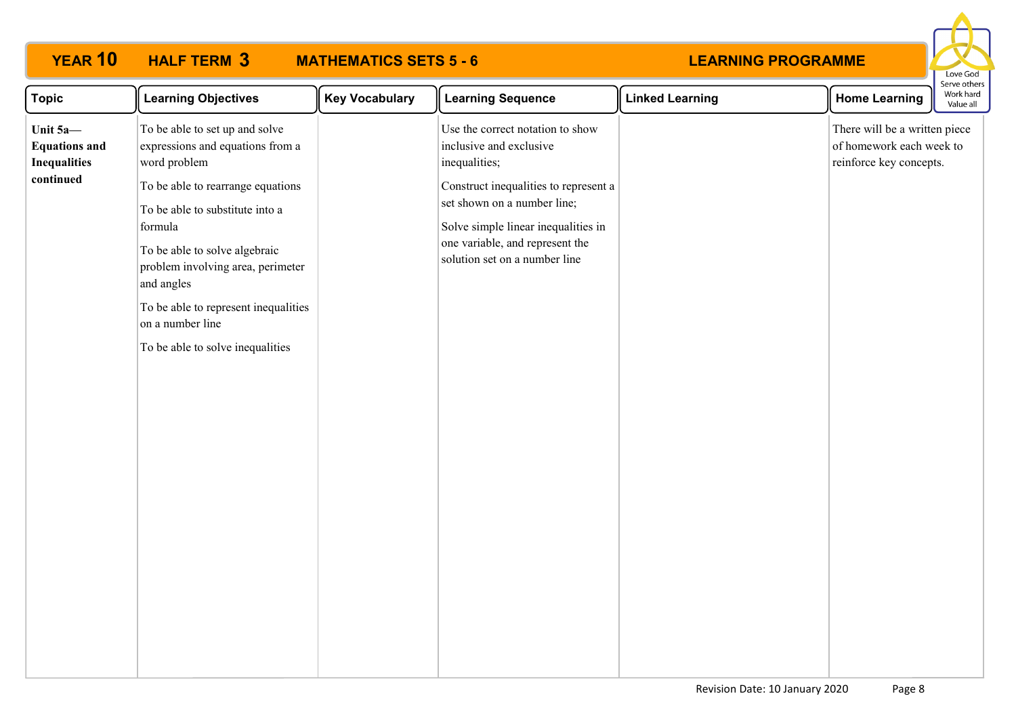

| <b>Topic</b>                                                         | <b>Learning Objectives</b>                                                                                                                                          | <b>Key Vocabulary</b> | <b>Learning Sequence</b>                                                                                                                                                        | <b>Linked Learning</b> | <b>Home Learning</b>                                                                 | Work hard<br>Value all |
|----------------------------------------------------------------------|---------------------------------------------------------------------------------------------------------------------------------------------------------------------|-----------------------|---------------------------------------------------------------------------------------------------------------------------------------------------------------------------------|------------------------|--------------------------------------------------------------------------------------|------------------------|
| Unit 5a-<br><b>Equations and</b><br><b>Inequalities</b><br>continued | To be able to set up and solve<br>expressions and equations from a<br>word problem                                                                                  |                       | Use the correct notation to show<br>inclusive and exclusive<br>inequalities;                                                                                                    |                        | There will be a written piece<br>of homework each week to<br>reinforce key concepts. |                        |
|                                                                      | To be able to rearrange equations<br>To be able to substitute into a<br>formula<br>To be able to solve algebraic<br>problem involving area, perimeter<br>and angles |                       | Construct inequalities to represent a<br>set shown on a number line;<br>Solve simple linear inequalities in<br>one variable, and represent the<br>solution set on a number line |                        |                                                                                      |                        |
|                                                                      | To be able to represent inequalities<br>on a number line                                                                                                            |                       |                                                                                                                                                                                 |                        |                                                                                      |                        |
|                                                                      | To be able to solve inequalities                                                                                                                                    |                       |                                                                                                                                                                                 |                        |                                                                                      |                        |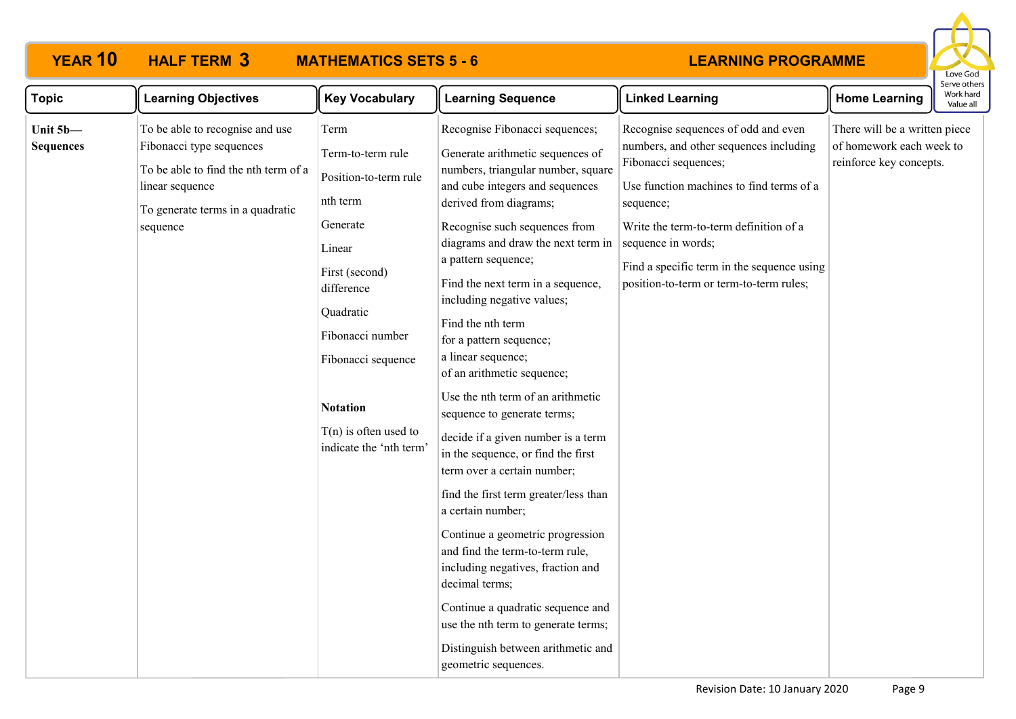

| <b>Topic</b>                 | <b>Learning Objectives</b>                                                                                                                                             | <b>Key Vocabulary</b>                                                                                                                                                                                                                                | <b>Learning Sequence</b>                                                                                                                                                                                                                                                                                                                                                                                                                                                                                                                                                                                                                                                                                                                                                                                                                                                                                                                                        | <b>Linked Learning</b>                                                                                                                                                                                                                                                                                                  | <b>Home Learning</b>                                                                 | Work hard<br>Value all |
|------------------------------|------------------------------------------------------------------------------------------------------------------------------------------------------------------------|------------------------------------------------------------------------------------------------------------------------------------------------------------------------------------------------------------------------------------------------------|-----------------------------------------------------------------------------------------------------------------------------------------------------------------------------------------------------------------------------------------------------------------------------------------------------------------------------------------------------------------------------------------------------------------------------------------------------------------------------------------------------------------------------------------------------------------------------------------------------------------------------------------------------------------------------------------------------------------------------------------------------------------------------------------------------------------------------------------------------------------------------------------------------------------------------------------------------------------|-------------------------------------------------------------------------------------------------------------------------------------------------------------------------------------------------------------------------------------------------------------------------------------------------------------------------|--------------------------------------------------------------------------------------|------------------------|
| Unit 5b-<br><b>Sequences</b> | To be able to recognise and use<br>Fibonacci type sequences<br>To be able to find the nth term of a<br>linear sequence<br>To generate terms in a quadratic<br>sequence | Term<br>Term-to-term rule<br>Position-to-term rule<br>nth term<br>Generate<br>Linear<br>First (second)<br>difference<br>Quadratic<br>Fibonacci number<br>Fibonacci sequence<br><b>Notation</b><br>$T(n)$ is often used to<br>indicate the 'nth term' | Recognise Fibonacci sequences;<br>Generate arithmetic sequences of<br>numbers, triangular number, square<br>and cube integers and sequences<br>derived from diagrams;<br>Recognise such sequences from<br>diagrams and draw the next term in<br>a pattern sequence;<br>Find the next term in a sequence,<br>including negative values;<br>Find the nth term<br>for a pattern sequence;<br>a linear sequence;<br>of an arithmetic sequence;<br>Use the nth term of an arithmetic<br>sequence to generate terms;<br>decide if a given number is a term<br>in the sequence, or find the first<br>term over a certain number;<br>find the first term greater/less than<br>a certain number;<br>Continue a geometric progression<br>and find the term-to-term rule,<br>including negatives, fraction and<br>decimal terms;<br>Continue a quadratic sequence and<br>use the nth term to generate terms;<br>Distinguish between arithmetic and<br>geometric sequences. | Recognise sequences of odd and even<br>numbers, and other sequences including<br>Fibonacci sequences;<br>Use function machines to find terms of a<br>sequence;<br>Write the term-to-term definition of a<br>sequence in words;<br>Find a specific term in the sequence using<br>position-to-term or term-to-term rules; | There will be a written piece<br>of homework each week to<br>reinforce key concepts. |                        |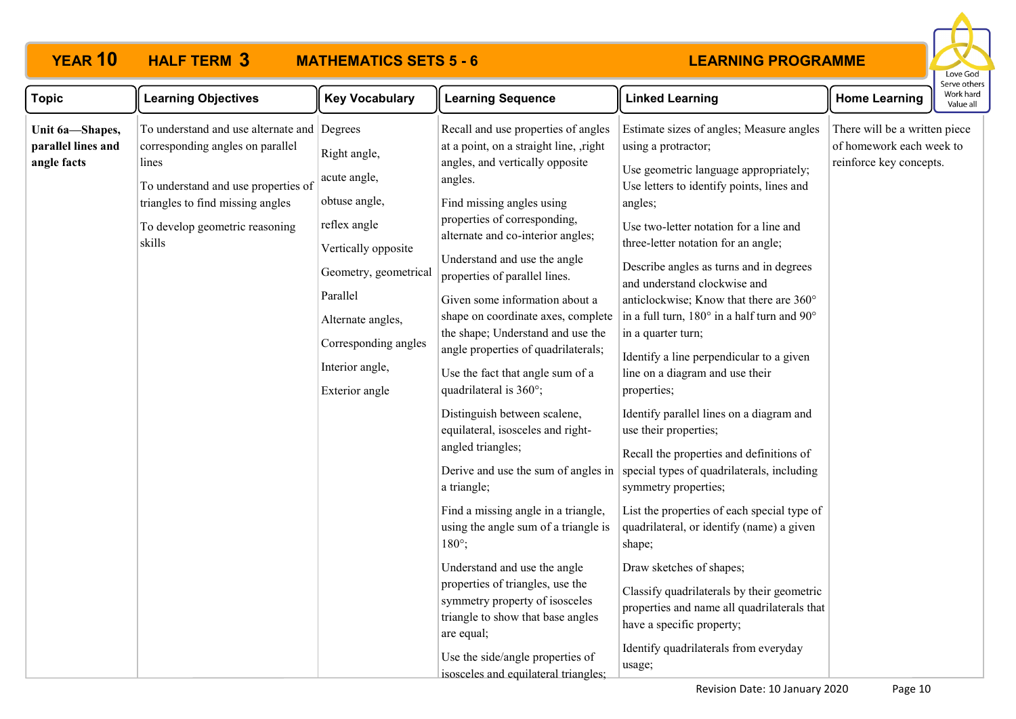

| <b>Topic</b>                                         | <b>Learning Objectives</b>                                                                                                                                                                                      | <b>Key Vocabulary</b>                                                                                                                                                                                       | <b>Learning Sequence</b>                                                                                                                                                                                                                                                                                                                                                                                                                                                                                                                                                                                                                                                                                                                                                                                                                                                                                                                                                                              | <b>Linked Learning</b>                                                                                                                                                                                                                                                                                                                                                                                                                                                                                                                                                                                                                                                                                                                                                                                                                                                                                                                                                                                                                           | <b>Home Learning</b>                                                                 | erve other<br>Work hard<br>Value all |
|------------------------------------------------------|-----------------------------------------------------------------------------------------------------------------------------------------------------------------------------------------------------------------|-------------------------------------------------------------------------------------------------------------------------------------------------------------------------------------------------------------|-------------------------------------------------------------------------------------------------------------------------------------------------------------------------------------------------------------------------------------------------------------------------------------------------------------------------------------------------------------------------------------------------------------------------------------------------------------------------------------------------------------------------------------------------------------------------------------------------------------------------------------------------------------------------------------------------------------------------------------------------------------------------------------------------------------------------------------------------------------------------------------------------------------------------------------------------------------------------------------------------------|--------------------------------------------------------------------------------------------------------------------------------------------------------------------------------------------------------------------------------------------------------------------------------------------------------------------------------------------------------------------------------------------------------------------------------------------------------------------------------------------------------------------------------------------------------------------------------------------------------------------------------------------------------------------------------------------------------------------------------------------------------------------------------------------------------------------------------------------------------------------------------------------------------------------------------------------------------------------------------------------------------------------------------------------------|--------------------------------------------------------------------------------------|--------------------------------------|
| Unit 6a-Shapes,<br>parallel lines and<br>angle facts | To understand and use alternate and Degrees<br>corresponding angles on parallel<br>lines<br>To understand and use properties of<br>triangles to find missing angles<br>To develop geometric reasoning<br>skills | Right angle,<br>acute angle,<br>obtuse angle,<br>reflex angle<br>Vertically opposite<br>Geometry, geometrical<br>Parallel<br>Alternate angles,<br>Corresponding angles<br>Interior angle,<br>Exterior angle | Recall and use properties of angles<br>at a point, on a straight line, ,right<br>angles, and vertically opposite<br>angles.<br>Find missing angles using<br>properties of corresponding,<br>alternate and co-interior angles;<br>Understand and use the angle<br>properties of parallel lines.<br>Given some information about a<br>shape on coordinate axes, complete<br>the shape; Understand and use the<br>angle properties of quadrilaterals;<br>Use the fact that angle sum of a<br>quadrilateral is 360°;<br>Distinguish between scalene,<br>equilateral, isosceles and right-<br>angled triangles;<br>Derive and use the sum of angles in<br>a triangle;<br>Find a missing angle in a triangle,<br>using the angle sum of a triangle is<br>$180^\circ$ ;<br>Understand and use the angle<br>properties of triangles, use the<br>symmetry property of isosceles<br>triangle to show that base angles<br>are equal;<br>Use the side/angle properties of<br>isosceles and equilateral triangles; | Estimate sizes of angles; Measure angles<br>using a protractor;<br>Use geometric language appropriately;<br>Use letters to identify points, lines and<br>angles;<br>Use two-letter notation for a line and<br>three-letter notation for an angle;<br>Describe angles as turns and in degrees<br>and understand clockwise and<br>anticlockwise; Know that there are 360°<br>in a full turn, 180° in a half turn and 90°<br>in a quarter turn;<br>Identify a line perpendicular to a given<br>line on a diagram and use their<br>properties;<br>Identify parallel lines on a diagram and<br>use their properties;<br>Recall the properties and definitions of<br>special types of quadrilaterals, including<br>symmetry properties;<br>List the properties of each special type of<br>quadrilateral, or identify (name) a given<br>shape;<br>Draw sketches of shapes;<br>Classify quadrilaterals by their geometric<br>properties and name all quadrilaterals that<br>have a specific property;<br>Identify quadrilaterals from everyday<br>usage; | There will be a written piece<br>of homework each week to<br>reinforce key concepts. |                                      |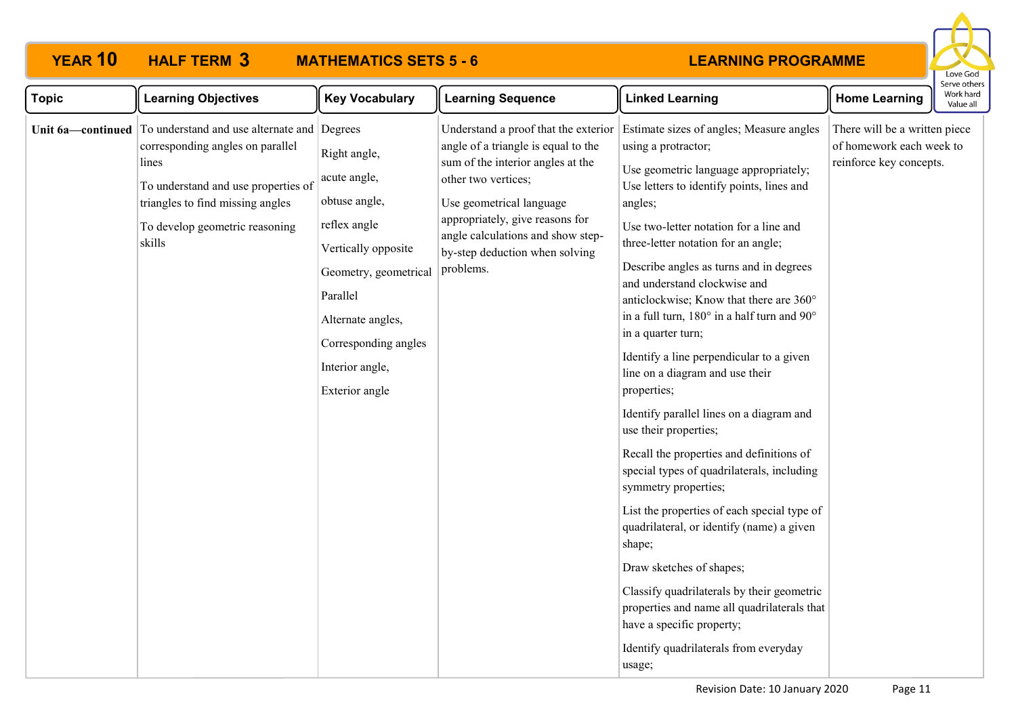

| <b>Topic</b>      | <b>Learning Objectives</b>                                                                                                                                                                                      | <b>Key Vocabulary</b>                                                                                                                                                                                       | <b>Learning Sequence</b>                                                                                                                                                                                                                                                                   | <b>Linked Learning</b>                                                                                                                                                                                                                                                                                                                                                                                                                                                                                                                                                                                                                                                                                                                                                                                                                                                                                                                                                                                                                           | <b>Home Learning</b>                                                                 | Work hard<br>Value all |
|-------------------|-----------------------------------------------------------------------------------------------------------------------------------------------------------------------------------------------------------------|-------------------------------------------------------------------------------------------------------------------------------------------------------------------------------------------------------------|--------------------------------------------------------------------------------------------------------------------------------------------------------------------------------------------------------------------------------------------------------------------------------------------|--------------------------------------------------------------------------------------------------------------------------------------------------------------------------------------------------------------------------------------------------------------------------------------------------------------------------------------------------------------------------------------------------------------------------------------------------------------------------------------------------------------------------------------------------------------------------------------------------------------------------------------------------------------------------------------------------------------------------------------------------------------------------------------------------------------------------------------------------------------------------------------------------------------------------------------------------------------------------------------------------------------------------------------------------|--------------------------------------------------------------------------------------|------------------------|
| Unit 6a-continued | To understand and use alternate and Degrees<br>corresponding angles on parallel<br>lines<br>To understand and use properties of<br>triangles to find missing angles<br>To develop geometric reasoning<br>skills | Right angle,<br>acute angle,<br>obtuse angle,<br>reflex angle<br>Vertically opposite<br>Geometry, geometrical<br>Parallel<br>Alternate angles,<br>Corresponding angles<br>Interior angle,<br>Exterior angle | Understand a proof that the exterior<br>angle of a triangle is equal to the<br>sum of the interior angles at the<br>other two vertices;<br>Use geometrical language<br>appropriately, give reasons for<br>angle calculations and show step-<br>by-step deduction when solving<br>problems. | Estimate sizes of angles; Measure angles<br>using a protractor;<br>Use geometric language appropriately;<br>Use letters to identify points, lines and<br>angles;<br>Use two-letter notation for a line and<br>three-letter notation for an angle;<br>Describe angles as turns and in degrees<br>and understand clockwise and<br>anticlockwise; Know that there are 360°<br>in a full turn, 180° in a half turn and 90°<br>in a quarter turn;<br>Identify a line perpendicular to a given<br>line on a diagram and use their<br>properties;<br>Identify parallel lines on a diagram and<br>use their properties;<br>Recall the properties and definitions of<br>special types of quadrilaterals, including<br>symmetry properties;<br>List the properties of each special type of<br>quadrilateral, or identify (name) a given<br>shape;<br>Draw sketches of shapes;<br>Classify quadrilaterals by their geometric<br>properties and name all quadrilaterals that<br>have a specific property;<br>Identify quadrilaterals from everyday<br>usage; | There will be a written piece<br>of homework each week to<br>reinforce key concepts. |                        |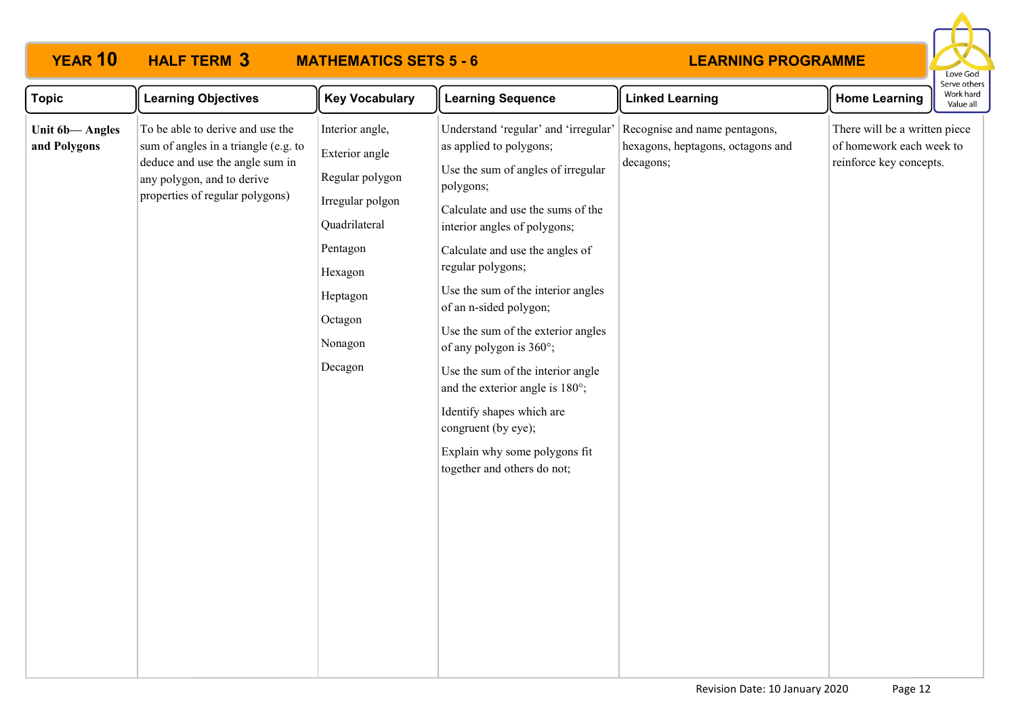

| <b>Topic</b>                   | <b>Learning Objectives</b>                                                                                                                                                   | <b>Key Vocabulary</b>                                                                                                                                         | <b>Learning Sequence</b>                                                                                                                                                                                                                                                                                                                                                                                                                                                                                                                                                     | <b>Linked Learning</b>                                                          | <b>Home Learning</b>                                                                 | serve otrier<br>Work hard<br>Value all |
|--------------------------------|------------------------------------------------------------------------------------------------------------------------------------------------------------------------------|---------------------------------------------------------------------------------------------------------------------------------------------------------------|------------------------------------------------------------------------------------------------------------------------------------------------------------------------------------------------------------------------------------------------------------------------------------------------------------------------------------------------------------------------------------------------------------------------------------------------------------------------------------------------------------------------------------------------------------------------------|---------------------------------------------------------------------------------|--------------------------------------------------------------------------------------|----------------------------------------|
| Unit 6b-Angles<br>and Polygons | To be able to derive and use the<br>sum of angles in a triangle (e.g. to<br>deduce and use the angle sum in<br>any polygon, and to derive<br>properties of regular polygons) | Interior angle,<br>Exterior angle<br>Regular polygon<br>Irregular polgon<br>Quadrilateral<br>Pentagon<br>Hexagon<br>Heptagon<br>Octagon<br>Nonagon<br>Decagon | Understand 'regular' and 'irregular'<br>as applied to polygons;<br>Use the sum of angles of irregular<br>polygons;<br>Calculate and use the sums of the<br>interior angles of polygons;<br>Calculate and use the angles of<br>regular polygons;<br>Use the sum of the interior angles<br>of an n-sided polygon;<br>Use the sum of the exterior angles<br>of any polygon is 360°;<br>Use the sum of the interior angle<br>and the exterior angle is 180°;<br>Identify shapes which are<br>congruent (by eye);<br>Explain why some polygons fit<br>together and others do not; | Recognise and name pentagons,<br>hexagons, heptagons, octagons and<br>decagons; | There will be a written piece<br>of homework each week to<br>reinforce key concepts. |                                        |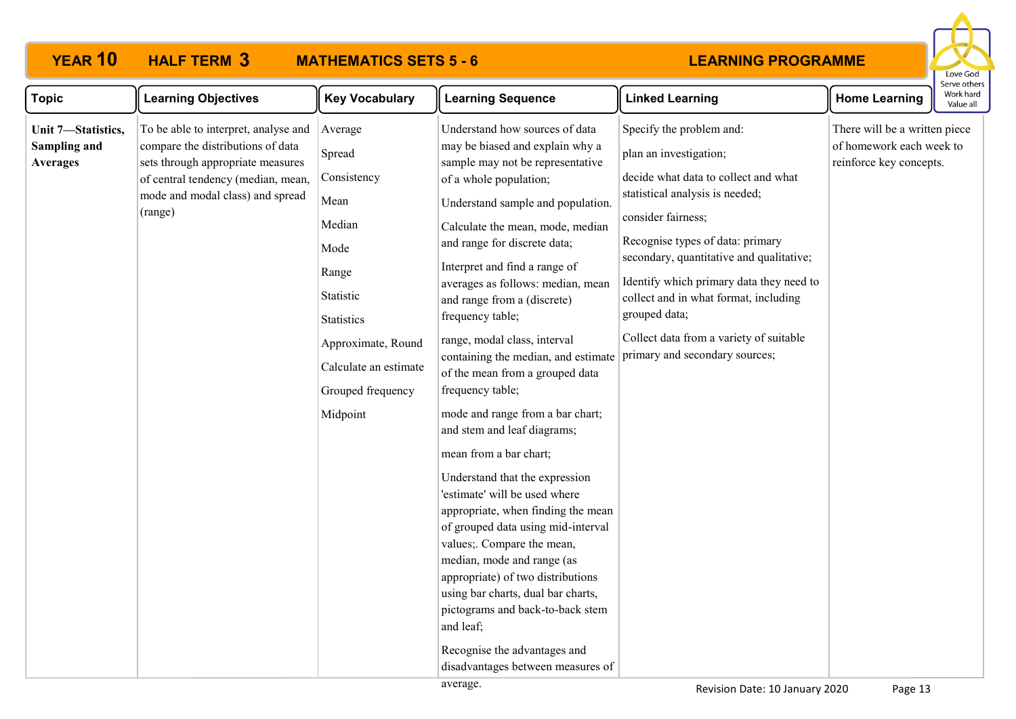# **YEAR 10 HALF TERM MATHEMATICS SETS 5 - 6**



| <b>Topic</b>                                          | <b>Learning Objectives</b>                                                                                                                                                                          | <b>Key Vocabulary</b>                                                                                                                                                                 | <b>Learning Sequence</b>                                                                                                                                                                                                                                                                                                                                                                                                                                                                                                                                                                                                                                                                                                                                                                                                                                                                                                                                                                                | <b>Linked Learning</b>                                                                                                                                                                                                                                                                                                                                                                                                 | <b>Home Learning</b>                                                                 | Work hard<br>Value all |
|-------------------------------------------------------|-----------------------------------------------------------------------------------------------------------------------------------------------------------------------------------------------------|---------------------------------------------------------------------------------------------------------------------------------------------------------------------------------------|---------------------------------------------------------------------------------------------------------------------------------------------------------------------------------------------------------------------------------------------------------------------------------------------------------------------------------------------------------------------------------------------------------------------------------------------------------------------------------------------------------------------------------------------------------------------------------------------------------------------------------------------------------------------------------------------------------------------------------------------------------------------------------------------------------------------------------------------------------------------------------------------------------------------------------------------------------------------------------------------------------|------------------------------------------------------------------------------------------------------------------------------------------------------------------------------------------------------------------------------------------------------------------------------------------------------------------------------------------------------------------------------------------------------------------------|--------------------------------------------------------------------------------------|------------------------|
| Unit 7-Statistics,<br>Sampling and<br><b>Averages</b> | To be able to interpret, analyse and<br>compare the distributions of data<br>sets through appropriate measures<br>of central tendency (median, mean,<br>mode and modal class) and spread<br>(range) | Average<br>Spread<br>Consistency<br>Mean<br>Median<br>Mode<br>Range<br>Statistic<br><b>Statistics</b><br>Approximate, Round<br>Calculate an estimate<br>Grouped frequency<br>Midpoint | Understand how sources of data<br>may be biased and explain why a<br>sample may not be representative<br>of a whole population;<br>Understand sample and population.<br>Calculate the mean, mode, median<br>and range for discrete data;<br>Interpret and find a range of<br>averages as follows: median, mean<br>and range from a (discrete)<br>frequency table;<br>range, modal class, interval<br>containing the median, and estimate<br>of the mean from a grouped data<br>frequency table;<br>mode and range from a bar chart;<br>and stem and leaf diagrams;<br>mean from a bar chart;<br>Understand that the expression<br>'estimate' will be used where<br>appropriate, when finding the mean<br>of grouped data using mid-interval<br>values; Compare the mean,<br>median, mode and range (as<br>appropriate) of two distributions<br>using bar charts, dual bar charts,<br>pictograms and back-to-back stem<br>and leaf;<br>Recognise the advantages and<br>disadvantages between measures of | Specify the problem and:<br>plan an investigation;<br>decide what data to collect and what<br>statistical analysis is needed;<br>consider fairness;<br>Recognise types of data: primary<br>secondary, quantitative and qualitative;<br>Identify which primary data they need to<br>collect and in what format, including<br>grouped data;<br>Collect data from a variety of suitable<br>primary and secondary sources; | There will be a written piece<br>of homework each week to<br>reinforce key concepts. |                        |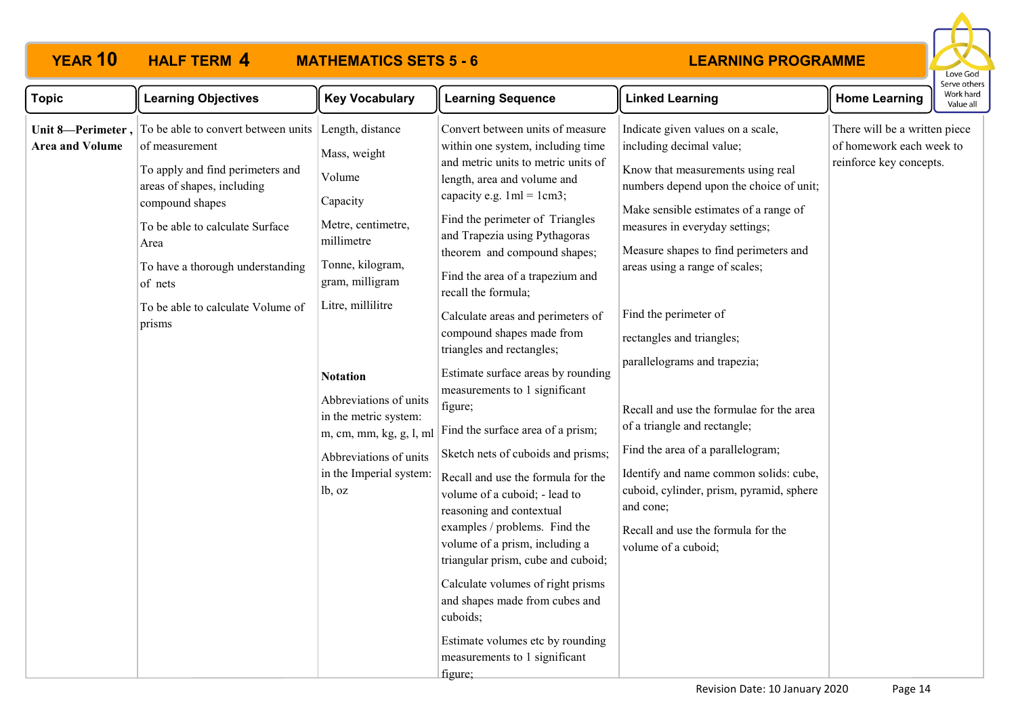# **YEAR 10 HALF TERM MATHEMATICS SETS 5 - 6**



| <b>Topic</b>           | <b>Learning Objectives</b>                                                                                                                                                                                                                                                                                    | <b>Key Vocabulary</b>                                                                                                                                                                                                                                                                                                  | <b>Learning Sequence</b>                                                                                                                                                                                                                                                                                                                                                                                                                                                                                                                                                                                                                                                                                                                                                                                                                                                                                                                                                              | <b>Linked Learning</b>                                                                                                                                                                                                                                                                                                                                                                                                                                                                                                                                                                                                                                                     | <b>Home Learning</b>                                                                 | Work hard<br>Value all |
|------------------------|---------------------------------------------------------------------------------------------------------------------------------------------------------------------------------------------------------------------------------------------------------------------------------------------------------------|------------------------------------------------------------------------------------------------------------------------------------------------------------------------------------------------------------------------------------------------------------------------------------------------------------------------|---------------------------------------------------------------------------------------------------------------------------------------------------------------------------------------------------------------------------------------------------------------------------------------------------------------------------------------------------------------------------------------------------------------------------------------------------------------------------------------------------------------------------------------------------------------------------------------------------------------------------------------------------------------------------------------------------------------------------------------------------------------------------------------------------------------------------------------------------------------------------------------------------------------------------------------------------------------------------------------|----------------------------------------------------------------------------------------------------------------------------------------------------------------------------------------------------------------------------------------------------------------------------------------------------------------------------------------------------------------------------------------------------------------------------------------------------------------------------------------------------------------------------------------------------------------------------------------------------------------------------------------------------------------------------|--------------------------------------------------------------------------------------|------------------------|
| <b>Area and Volume</b> | Unit 8—Perimeter, $\vert$ To be able to convert between units<br>of measurement<br>To apply and find perimeters and<br>areas of shapes, including<br>compound shapes<br>To be able to calculate Surface<br>Area<br>To have a thorough understanding<br>of nets<br>To be able to calculate Volume of<br>prisms | Length, distance<br>Mass, weight<br>Volume<br>Capacity<br>Metre, centimetre,<br>millimetre<br>Tonne, kilogram,<br>gram, milligram<br>Litre, millilitre<br><b>Notation</b><br>Abbreviations of units<br>in the metric system:<br>m, cm, mm, kg, g, l, ml<br>Abbreviations of units<br>in the Imperial system:<br>lb, oz | Convert between units of measure<br>within one system, including time<br>and metric units to metric units of<br>length, area and volume and<br>capacity e.g. $1ml = 1cm3$ ;<br>Find the perimeter of Triangles<br>and Trapezia using Pythagoras<br>theorem and compound shapes;<br>Find the area of a trapezium and<br>recall the formula;<br>Calculate areas and perimeters of<br>compound shapes made from<br>triangles and rectangles;<br>Estimate surface areas by rounding<br>measurements to 1 significant<br>figure;<br>Find the surface area of a prism;<br>Sketch nets of cuboids and prisms;<br>Recall and use the formula for the<br>volume of a cuboid; - lead to<br>reasoning and contextual<br>examples / problems. Find the<br>volume of a prism, including a<br>triangular prism, cube and cuboid;<br>Calculate volumes of right prisms<br>and shapes made from cubes and<br>cuboids;<br>Estimate volumes etc by rounding<br>measurements to 1 significant<br>figure; | Indicate given values on a scale,<br>including decimal value;<br>Know that measurements using real<br>numbers depend upon the choice of unit;<br>Make sensible estimates of a range of<br>measures in everyday settings;<br>Measure shapes to find perimeters and<br>areas using a range of scales;<br>Find the perimeter of<br>rectangles and triangles;<br>parallelograms and trapezia;<br>Recall and use the formulae for the area<br>of a triangle and rectangle;<br>Find the area of a parallelogram;<br>Identify and name common solids: cube,<br>cuboid, cylinder, prism, pyramid, sphere<br>and cone;<br>Recall and use the formula for the<br>volume of a cuboid; | There will be a written piece<br>of homework each week to<br>reinforce key concepts. |                        |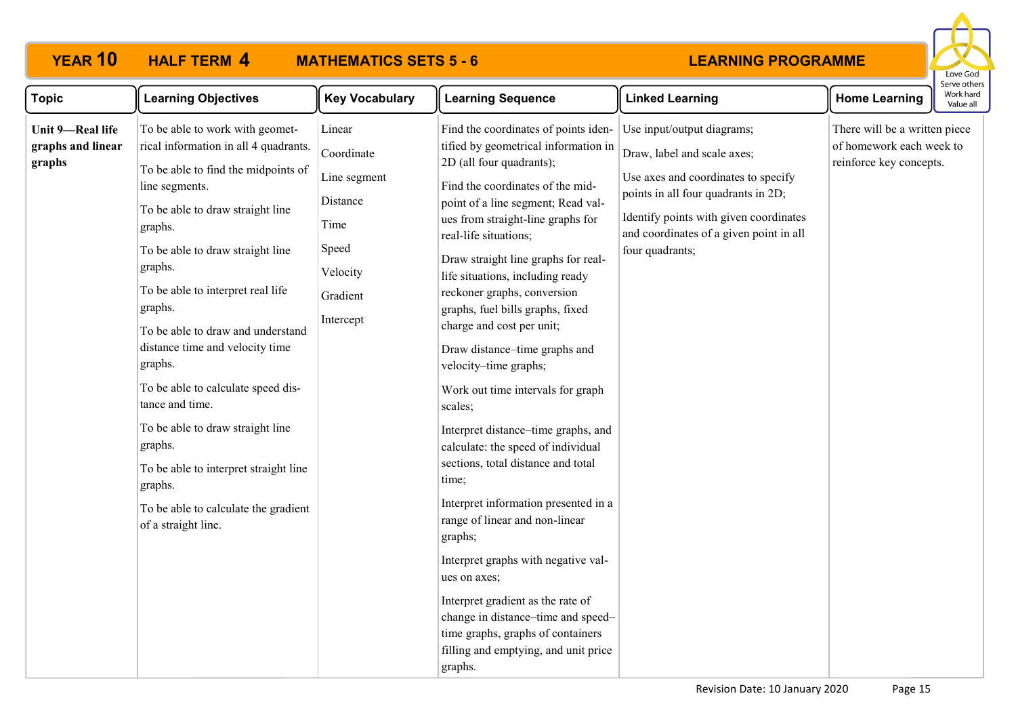# **YEAR 10 HALF TERM MATHEMATICS SETS 5 - 6**



| <b>Topic</b>                                    | <b>Learning Objectives</b>                                                                                                                                                                                                                                                                                                                                                                                                                                                                                                                                                                    | <b>Key Vocabulary</b>                                                                                  | <b>Learning Sequence</b>                                                                                                                                                                                                                                                                                                                                                                                                                                                                                                                                                                                                                                                                                                                                                                                                                                                                                                                                                         | <b>Linked Learning</b>                                                                                                                                                                                                                          | <b>Home Learning</b>                                                                 | Serve othe<br>Work har<br>Value all |
|-------------------------------------------------|-----------------------------------------------------------------------------------------------------------------------------------------------------------------------------------------------------------------------------------------------------------------------------------------------------------------------------------------------------------------------------------------------------------------------------------------------------------------------------------------------------------------------------------------------------------------------------------------------|--------------------------------------------------------------------------------------------------------|----------------------------------------------------------------------------------------------------------------------------------------------------------------------------------------------------------------------------------------------------------------------------------------------------------------------------------------------------------------------------------------------------------------------------------------------------------------------------------------------------------------------------------------------------------------------------------------------------------------------------------------------------------------------------------------------------------------------------------------------------------------------------------------------------------------------------------------------------------------------------------------------------------------------------------------------------------------------------------|-------------------------------------------------------------------------------------------------------------------------------------------------------------------------------------------------------------------------------------------------|--------------------------------------------------------------------------------------|-------------------------------------|
| Unit 9-Real life<br>graphs and linear<br>graphs | To be able to work with geomet-<br>rical information in all 4 quadrants.<br>To be able to find the midpoints of<br>line segments.<br>To be able to draw straight line<br>graphs.<br>To be able to draw straight line<br>graphs.<br>To be able to interpret real life<br>graphs.<br>To be able to draw and understand<br>distance time and velocity time<br>graphs.<br>To be able to calculate speed dis-<br>tance and time.<br>To be able to draw straight line<br>graphs.<br>To be able to interpret straight line<br>graphs.<br>To be able to calculate the gradient<br>of a straight line. | Linear<br>Coordinate<br>Line segment<br>Distance<br>Time<br>Speed<br>Velocity<br>Gradient<br>Intercept | Find the coordinates of points iden-<br>tified by geometrical information in<br>2D (all four quadrants);<br>Find the coordinates of the mid-<br>point of a line segment; Read val-<br>ues from straight-line graphs for<br>real-life situations;<br>Draw straight line graphs for real-<br>life situations, including ready<br>reckoner graphs, conversion<br>graphs, fuel bills graphs, fixed<br>charge and cost per unit;<br>Draw distance-time graphs and<br>velocity-time graphs;<br>Work out time intervals for graph<br>scales;<br>Interpret distance-time graphs, and<br>calculate: the speed of individual<br>sections, total distance and total<br>time;<br>Interpret information presented in a<br>range of linear and non-linear<br>graphs;<br>Interpret graphs with negative val-<br>ues on axes;<br>Interpret gradient as the rate of<br>change in distance-time and speed-<br>time graphs, graphs of containers<br>filling and emptying, and unit price<br>graphs. | Use input/output diagrams;<br>Draw, label and scale axes;<br>Use axes and coordinates to specify<br>points in all four quadrants in 2D;<br>Identify points with given coordinates<br>and coordinates of a given point in all<br>four quadrants; | There will be a written piece<br>of homework each week to<br>reinforce key concepts. |                                     |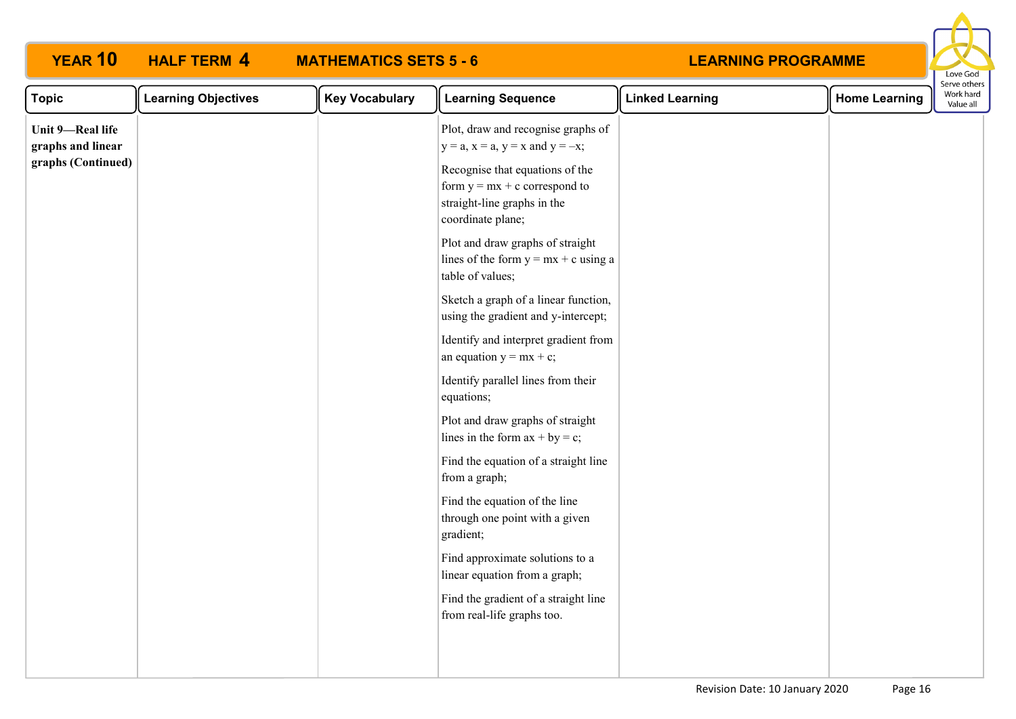| <b>YEAR 10</b>                                              | <b>HALF TERM 4</b>         | <b>MATHEMATICS SETS 5 - 6</b> |                                                                                                                                                                                                                                                                                                                                                                                                                                     | <b>LEARNING PROGRAMME</b> |                      | Love God                               |
|-------------------------------------------------------------|----------------------------|-------------------------------|-------------------------------------------------------------------------------------------------------------------------------------------------------------------------------------------------------------------------------------------------------------------------------------------------------------------------------------------------------------------------------------------------------------------------------------|---------------------------|----------------------|----------------------------------------|
| <b>Topic</b>                                                | <b>Learning Objectives</b> | <b>Key Vocabulary</b>         | <b>Learning Sequence</b>                                                                                                                                                                                                                                                                                                                                                                                                            | <b>Linked Learning</b>    | <b>Home Learning</b> | Serve others<br>Work hard<br>Value all |
| Unit 9-Real life<br>graphs and linear<br>graphs (Continued) |                            |                               | Plot, draw and recognise graphs of<br>$y = a$ , $x = a$ , $y = x$ and $y = -x$ ;<br>Recognise that equations of the<br>form $y = mx + c$ correspond to<br>straight-line graphs in the<br>coordinate plane;<br>Plot and draw graphs of straight<br>lines of the form $y = mx + c$ using a<br>table of values;<br>Sketch a graph of a linear function,<br>using the gradient and y-intercept;<br>Identify and interpret gradient from |                           |                      |                                        |
|                                                             |                            |                               | an equation $y = mx + c$ ;<br>Identify parallel lines from their<br>equations;<br>Plot and draw graphs of straight<br>lines in the form $ax + by = c$ ;<br>Find the equation of a straight line<br>from a graph;<br>Find the equation of the line<br>through one point with a given<br>gradient;<br>Find approximate solutions to a<br>linear equation from a graph;                                                                |                           |                      |                                        |
|                                                             |                            |                               | Find the gradient of a straight line<br>from real-life graphs too.                                                                                                                                                                                                                                                                                                                                                                  |                           |                      |                                        |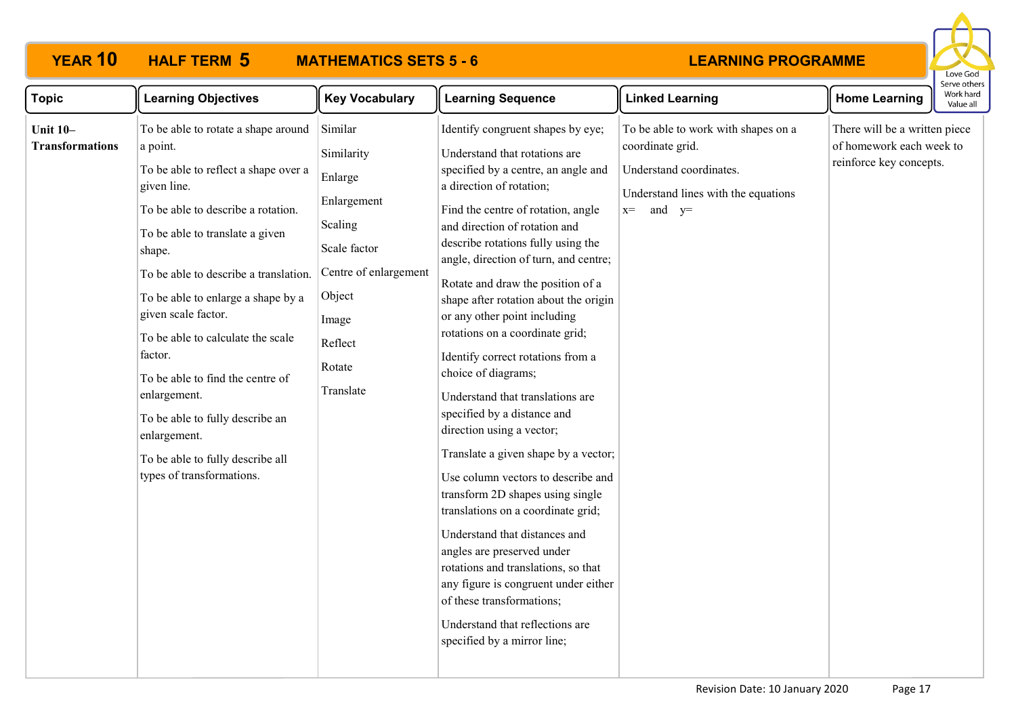# **YEAR 10 HALF TERM MATHEMATICS SETS 5 - 6**



| <b>Topic</b>                              | <b>Learning Objectives</b>                                                                                                                                                                                                                                                                                                                                                                                                                                                                                              | <b>Key Vocabulary</b>                                                                                                                                    | <b>Learning Sequence</b>                                                                                                                                                                                                                                                                                                                                                                                                                                                                                                                                                                                                                                                                                                                                                                                                                                                                                                                                                                                      | <b>Linked Learning</b>                                                                                                                        | <b>Home Learning</b>                                                                 | וסו עם טנוופו<br>Work hard<br>Value all |
|-------------------------------------------|-------------------------------------------------------------------------------------------------------------------------------------------------------------------------------------------------------------------------------------------------------------------------------------------------------------------------------------------------------------------------------------------------------------------------------------------------------------------------------------------------------------------------|----------------------------------------------------------------------------------------------------------------------------------------------------------|---------------------------------------------------------------------------------------------------------------------------------------------------------------------------------------------------------------------------------------------------------------------------------------------------------------------------------------------------------------------------------------------------------------------------------------------------------------------------------------------------------------------------------------------------------------------------------------------------------------------------------------------------------------------------------------------------------------------------------------------------------------------------------------------------------------------------------------------------------------------------------------------------------------------------------------------------------------------------------------------------------------|-----------------------------------------------------------------------------------------------------------------------------------------------|--------------------------------------------------------------------------------------|-----------------------------------------|
| <b>Unit 10-</b><br><b>Transformations</b> | To be able to rotate a shape around<br>a point.<br>To be able to reflect a shape over a<br>given line.<br>To be able to describe a rotation.<br>To be able to translate a given<br>shape.<br>To be able to describe a translation.<br>To be able to enlarge a shape by a<br>given scale factor.<br>To be able to calculate the scale<br>factor.<br>To be able to find the centre of<br>enlargement.<br>To be able to fully describe an<br>enlargement.<br>To be able to fully describe all<br>types of transformations. | Similar<br>Similarity<br>Enlarge<br>Enlargement<br>Scaling<br>Scale factor<br>Centre of enlargement<br>Object<br>Image<br>Reflect<br>Rotate<br>Translate | Identify congruent shapes by eye;<br>Understand that rotations are<br>specified by a centre, an angle and<br>a direction of rotation;<br>Find the centre of rotation, angle<br>and direction of rotation and<br>describe rotations fully using the<br>angle, direction of turn, and centre;<br>Rotate and draw the position of a<br>shape after rotation about the origin<br>or any other point including<br>rotations on a coordinate grid;<br>Identify correct rotations from a<br>choice of diagrams;<br>Understand that translations are<br>specified by a distance and<br>direction using a vector;<br>Translate a given shape by a vector;<br>Use column vectors to describe and<br>transform 2D shapes using single<br>translations on a coordinate grid;<br>Understand that distances and<br>angles are preserved under<br>rotations and translations, so that<br>any figure is congruent under either<br>of these transformations;<br>Understand that reflections are<br>specified by a mirror line; | To be able to work with shapes on a<br>coordinate grid.<br>Understand coordinates.<br>Understand lines with the equations<br>and $y=$<br>$x=$ | There will be a written piece<br>of homework each week to<br>reinforce key concepts. |                                         |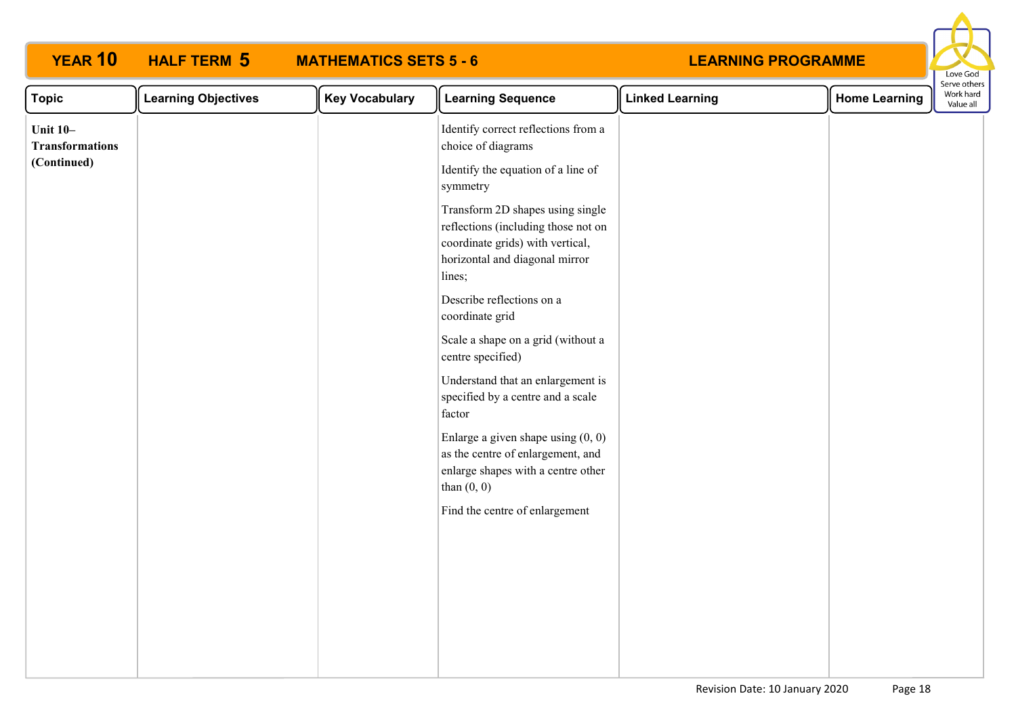| <b>YEAR 10</b>                            | <b>HALF TERM 5</b>         | <b>MATHEMATICS SETS 5 - 6</b> |                                                                                                                                                         | <b>LEARNING PROGRAMME</b> |                      | Love God                               |  |
|-------------------------------------------|----------------------------|-------------------------------|---------------------------------------------------------------------------------------------------------------------------------------------------------|---------------------------|----------------------|----------------------------------------|--|
| <b>Topic</b>                              | <b>Learning Objectives</b> | <b>Key Vocabulary</b>         | <b>Learning Sequence</b>                                                                                                                                | <b>Linked Learning</b>    | <b>Home Learning</b> | Serve others<br>Work hard<br>Value all |  |
| <b>Unit 10-</b><br><b>Transformations</b> |                            |                               | Identify correct reflections from a<br>choice of diagrams                                                                                               |                           |                      |                                        |  |
| (Continued)                               |                            |                               | Identify the equation of a line of<br>symmetry                                                                                                          |                           |                      |                                        |  |
|                                           |                            |                               | Transform 2D shapes using single<br>reflections (including those not on<br>coordinate grids) with vertical,<br>horizontal and diagonal mirror<br>lines; |                           |                      |                                        |  |
|                                           |                            |                               | Describe reflections on a<br>coordinate grid                                                                                                            |                           |                      |                                        |  |
|                                           |                            |                               | Scale a shape on a grid (without a<br>centre specified)                                                                                                 |                           |                      |                                        |  |
|                                           |                            |                               | Understand that an enlargement is<br>specified by a centre and a scale<br>factor                                                                        |                           |                      |                                        |  |
|                                           |                            |                               | Enlarge a given shape using $(0, 0)$<br>as the centre of enlargement, and<br>enlarge shapes with a centre other<br>than $(0, 0)$                        |                           |                      |                                        |  |
|                                           |                            |                               | Find the centre of enlargement                                                                                                                          |                           |                      |                                        |  |
|                                           |                            |                               |                                                                                                                                                         |                           |                      |                                        |  |
|                                           |                            |                               |                                                                                                                                                         |                           |                      |                                        |  |
|                                           |                            |                               |                                                                                                                                                         |                           |                      |                                        |  |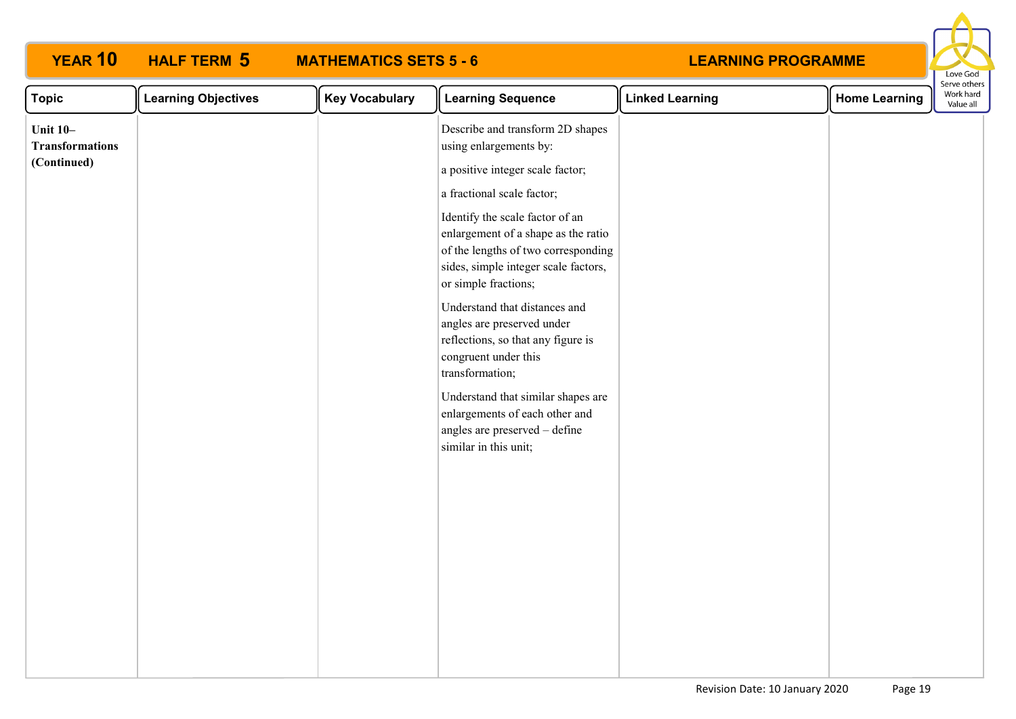| <b>YEAR 10</b>                                           | <b>HALF TERM 5</b>         | <b>MATHEMATICS SETS 5 - 6</b> |                                                                                                                                                                                                                                                                                                                                                                                                                                                                                                                                                                                                 | <b>LEARNING PROGRAMME</b> |                      | Love God               |
|----------------------------------------------------------|----------------------------|-------------------------------|-------------------------------------------------------------------------------------------------------------------------------------------------------------------------------------------------------------------------------------------------------------------------------------------------------------------------------------------------------------------------------------------------------------------------------------------------------------------------------------------------------------------------------------------------------------------------------------------------|---------------------------|----------------------|------------------------|
| <b>Topic</b>                                             | <b>Learning Objectives</b> | <b>Key Vocabulary</b>         | <b>Learning Sequence</b>                                                                                                                                                                                                                                                                                                                                                                                                                                                                                                                                                                        | <b>Linked Learning</b>    | <b>Home Learning</b> | Work hard<br>Value all |
| <b>Unit 10-</b><br><b>Transformations</b><br>(Continued) |                            |                               | Describe and transform 2D shapes<br>using enlargements by:<br>a positive integer scale factor;<br>a fractional scale factor;<br>Identify the scale factor of an<br>enlargement of a shape as the ratio<br>of the lengths of two corresponding<br>sides, simple integer scale factors,<br>or simple fractions;<br>Understand that distances and<br>angles are preserved under<br>reflections, so that any figure is<br>congruent under this<br>transformation;<br>Understand that similar shapes are<br>enlargements of each other and<br>angles are preserved - define<br>similar in this unit; |                           |                      | Serve others           |
|                                                          |                            |                               |                                                                                                                                                                                                                                                                                                                                                                                                                                                                                                                                                                                                 |                           |                      |                        |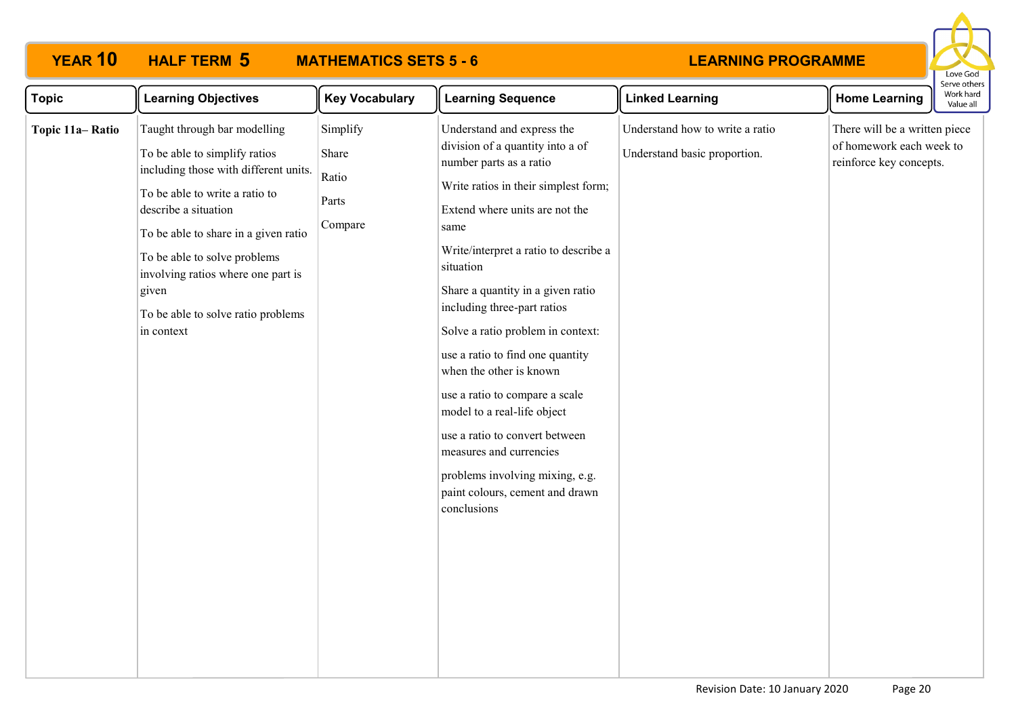# **YEAR 10 HALF TERM MATHEMATICS SETS 5 - 6**



| <b>Topic</b>    | <b>Learning Objectives</b>                                                                                                                                                                                                                                                                                                                  | <b>Key Vocabulary</b>                          | <b>Learning Sequence</b>                                                                                                                                                                                                                                                                                                                                                                                                                                                                                                                                                                                                     | <b>Linked Learning</b>                                          | <b>Home Learning</b>                                                                 | serve other<br>Work hard<br>Value all |
|-----------------|---------------------------------------------------------------------------------------------------------------------------------------------------------------------------------------------------------------------------------------------------------------------------------------------------------------------------------------------|------------------------------------------------|------------------------------------------------------------------------------------------------------------------------------------------------------------------------------------------------------------------------------------------------------------------------------------------------------------------------------------------------------------------------------------------------------------------------------------------------------------------------------------------------------------------------------------------------------------------------------------------------------------------------------|-----------------------------------------------------------------|--------------------------------------------------------------------------------------|---------------------------------------|
| Topic 11a-Ratio | Taught through bar modelling<br>To be able to simplify ratios<br>including those with different units.<br>To be able to write a ratio to<br>describe a situation<br>To be able to share in a given ratio<br>To be able to solve problems<br>involving ratios where one part is<br>given<br>To be able to solve ratio problems<br>in context | Simplify<br>Share<br>Ratio<br>Parts<br>Compare | Understand and express the<br>division of a quantity into a of<br>number parts as a ratio<br>Write ratios in their simplest form;<br>Extend where units are not the<br>same<br>Write/interpret a ratio to describe a<br>situation<br>Share a quantity in a given ratio<br>including three-part ratios<br>Solve a ratio problem in context:<br>use a ratio to find one quantity<br>when the other is known<br>use a ratio to compare a scale<br>model to a real-life object<br>use a ratio to convert between<br>measures and currencies<br>problems involving mixing, e.g.<br>paint colours, cement and drawn<br>conclusions | Understand how to write a ratio<br>Understand basic proportion. | There will be a written piece<br>of homework each week to<br>reinforce key concepts. |                                       |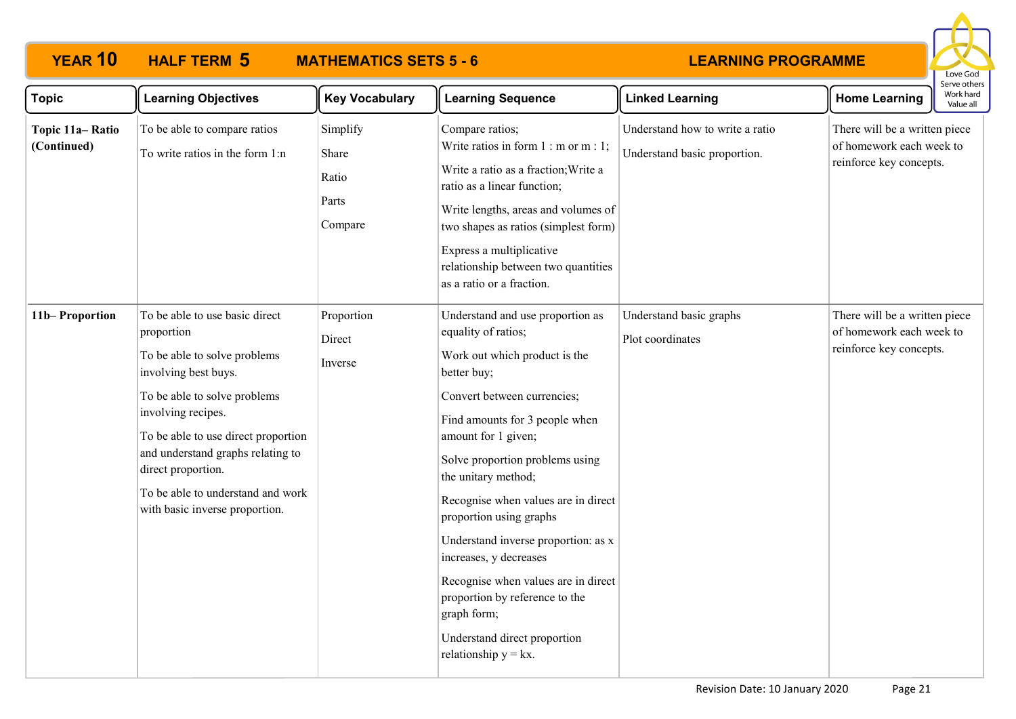# **YEAR 10 HALF TERM MATHEMATICS SETS 5 - 6**



| <b>Topic</b>                   | <b>Learning Objectives</b>                                                                                                                                                                                                                                                                                                          | <b>Key Vocabulary</b>                          | <b>Learning Sequence</b>                                                                                                                                                                                                                                                                                                                                                                                                                                                                                                                        | <b>Linked Learning</b>                                          | <b>Home Learning</b>                                                                 | Work hard<br>Value all |
|--------------------------------|-------------------------------------------------------------------------------------------------------------------------------------------------------------------------------------------------------------------------------------------------------------------------------------------------------------------------------------|------------------------------------------------|-------------------------------------------------------------------------------------------------------------------------------------------------------------------------------------------------------------------------------------------------------------------------------------------------------------------------------------------------------------------------------------------------------------------------------------------------------------------------------------------------------------------------------------------------|-----------------------------------------------------------------|--------------------------------------------------------------------------------------|------------------------|
| Topic 11a-Ratio<br>(Continued) | To be able to compare ratios<br>To write ratios in the form 1:n                                                                                                                                                                                                                                                                     | Simplify<br>Share<br>Ratio<br>Parts<br>Compare | Compare ratios;<br>Write ratios in form $1: m$ or $m: 1$ ;<br>Write a ratio as a fraction; Write a<br>ratio as a linear function;<br>Write lengths, areas and volumes of<br>two shapes as ratios (simplest form)<br>Express a multiplicative<br>relationship between two quantities<br>as a ratio or a fraction.                                                                                                                                                                                                                                | Understand how to write a ratio<br>Understand basic proportion. | There will be a written piece<br>of homework each week to<br>reinforce key concepts. |                        |
| 11b-Proportion                 | To be able to use basic direct<br>proportion<br>To be able to solve problems<br>involving best buys.<br>To be able to solve problems<br>involving recipes.<br>To be able to use direct proportion<br>and understand graphs relating to<br>direct proportion.<br>To be able to understand and work<br>with basic inverse proportion. | Proportion<br>Direct<br>Inverse                | Understand and use proportion as<br>equality of ratios;<br>Work out which product is the<br>better buy;<br>Convert between currencies;<br>Find amounts for 3 people when<br>amount for 1 given;<br>Solve proportion problems using<br>the unitary method;<br>Recognise when values are in direct<br>proportion using graphs<br>Understand inverse proportion: as x<br>increases, y decreases<br>Recognise when values are in direct<br>proportion by reference to the<br>graph form;<br>Understand direct proportion<br>relationship $y = kx$ . | Understand basic graphs<br>Plot coordinates                     | There will be a written piece<br>of homework each week to<br>reinforce key concepts. |                        |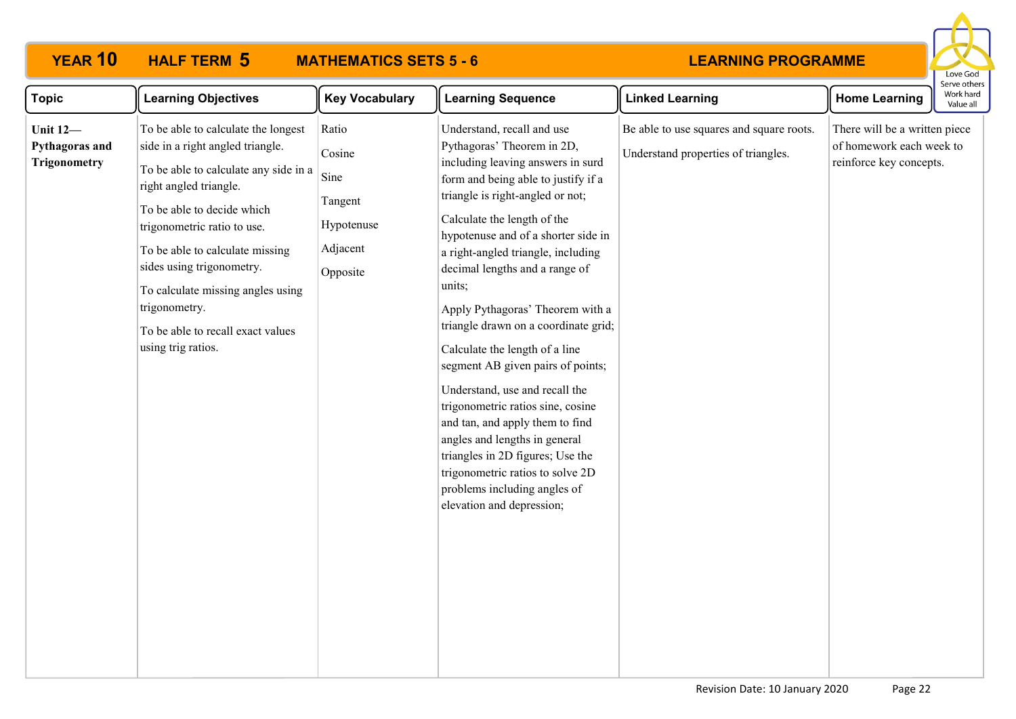# **YEAR 10 HALF TERM MATHEMATICS SETS 5 - 6**



| <b>Topic</b>                                             | <b>Learning Objectives</b>                                                                                                                                                                                                                                                                                                                                                               | <b>Key Vocabulary</b>                                                    | <b>Learning Sequence</b>                                                                                                                                                                                                                                                                                                                                                                                                                                                                                                                                                                                                                                                                                                                                            | <b>Linked Learning</b>                                                          | <b>Home Learning</b>                                                                 | Work hard<br>Value all |
|----------------------------------------------------------|------------------------------------------------------------------------------------------------------------------------------------------------------------------------------------------------------------------------------------------------------------------------------------------------------------------------------------------------------------------------------------------|--------------------------------------------------------------------------|---------------------------------------------------------------------------------------------------------------------------------------------------------------------------------------------------------------------------------------------------------------------------------------------------------------------------------------------------------------------------------------------------------------------------------------------------------------------------------------------------------------------------------------------------------------------------------------------------------------------------------------------------------------------------------------------------------------------------------------------------------------------|---------------------------------------------------------------------------------|--------------------------------------------------------------------------------------|------------------------|
| <b>Unit 12-</b><br>Pythagoras and<br><b>Trigonometry</b> | To be able to calculate the longest<br>side in a right angled triangle.<br>To be able to calculate any side in a<br>right angled triangle.<br>To be able to decide which<br>trigonometric ratio to use.<br>To be able to calculate missing<br>sides using trigonometry.<br>To calculate missing angles using<br>trigonometry.<br>To be able to recall exact values<br>using trig ratios. | Ratio<br>Cosine<br>Sine<br>Tangent<br>Hypotenuse<br>Adjacent<br>Opposite | Understand, recall and use<br>Pythagoras' Theorem in 2D,<br>including leaving answers in surd<br>form and being able to justify if a<br>triangle is right-angled or not;<br>Calculate the length of the<br>hypotenuse and of a shorter side in<br>a right-angled triangle, including<br>decimal lengths and a range of<br>units;<br>Apply Pythagoras' Theorem with a<br>triangle drawn on a coordinate grid;<br>Calculate the length of a line<br>segment AB given pairs of points;<br>Understand, use and recall the<br>trigonometric ratios sine, cosine<br>and tan, and apply them to find<br>angles and lengths in general<br>triangles in 2D figures; Use the<br>trigonometric ratios to solve 2D<br>problems including angles of<br>elevation and depression; | Be able to use squares and square roots.<br>Understand properties of triangles. | There will be a written piece<br>of homework each week to<br>reinforce key concepts. |                        |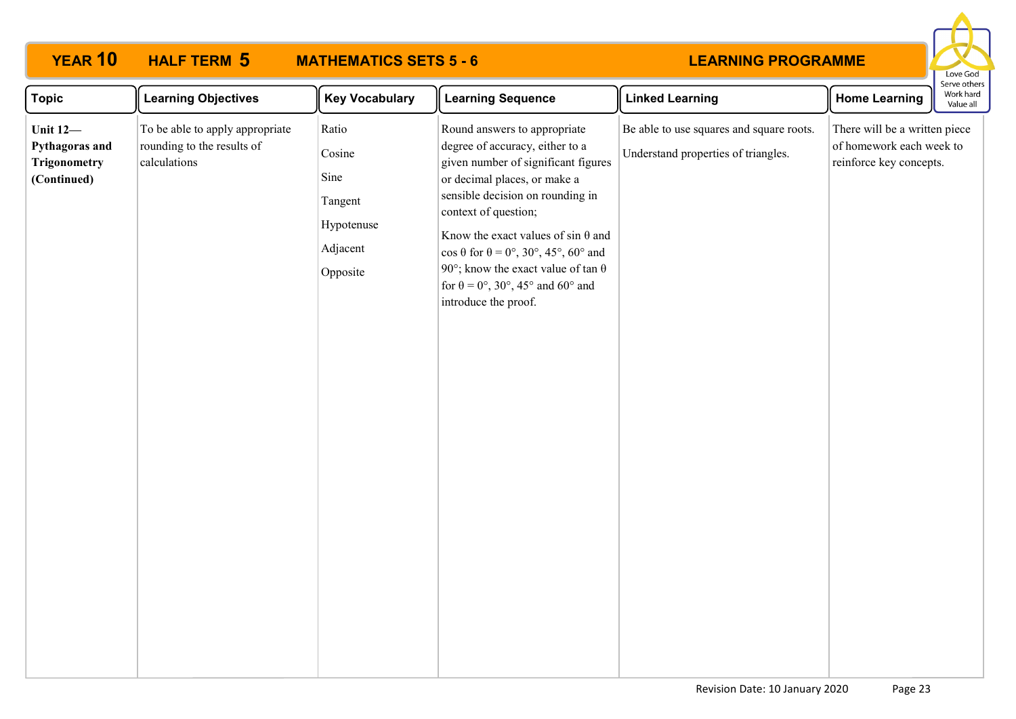### **LEARNING PROGRAMME Topic Learning Objectives Key Vocabulary** Learning Sequence **Rearge Linked Learning Home Learning YEAR 10 HALF TERM MATHEMATICS SETS 5 - 6 Unit 12— Pythagoras and Trigonometry (Continued)** To be able to apply appropriate rounding to the results of calculations Ratio Cosine Sine Tangent Hypotenuse Adjacent Opposite Round answers to appropriate degree of accuracy, either to a given number of significant figures or decimal places, or make a sensible decision on rounding in context of question; Know the exact values of sin  $\theta$  and  $\cos \theta$  for  $\theta = 0^\circ$ , 30°, 45°, 60° and 90°; know the exact value of tan  $\theta$ for  $\theta = 0^{\circ}$ , 30°, 45° and 60° and introduce the proof. Be able to use squares and square roots. Understand properties of triangles. There will be a written piece of homework each week to reinforce key concepts. **HALF TERM 5**

Love God Serve others Work hard Value all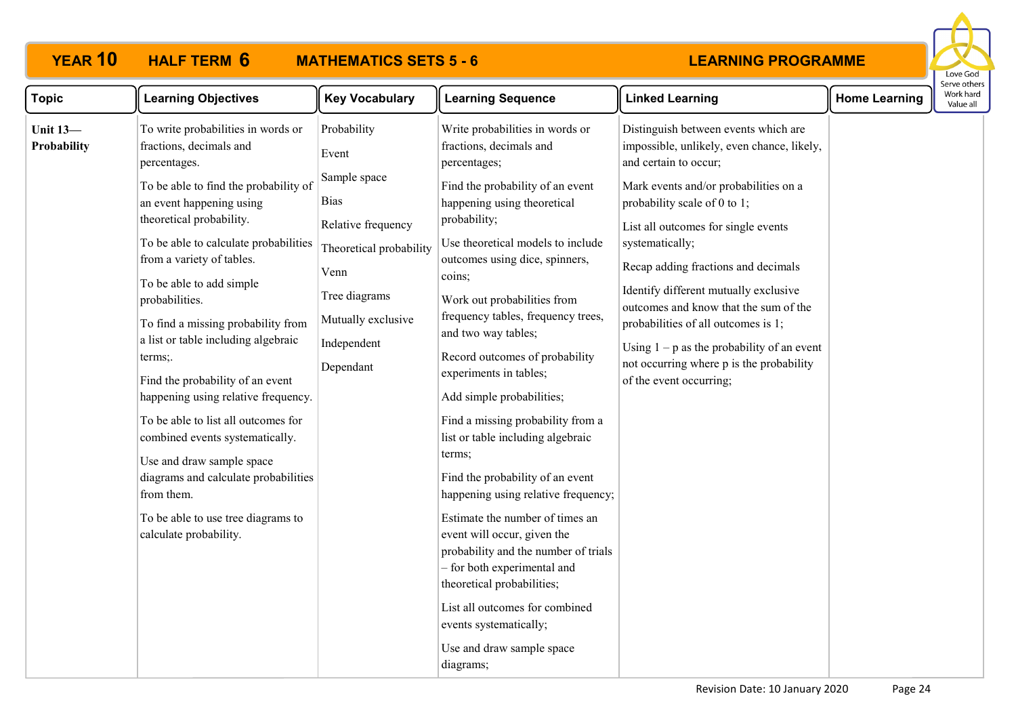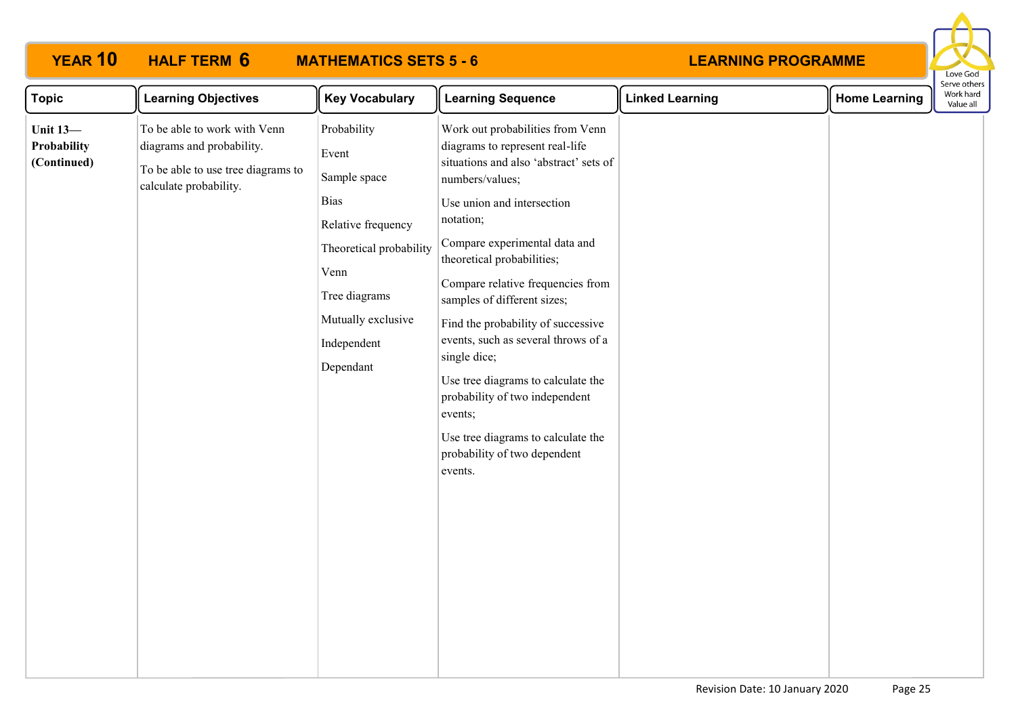

| <b>Topic</b>                                  | <b>Learning Objectives</b>                                                                                                | <b>Key Vocabulary</b>                                                                                                                                                           | <b>Learning Sequence</b>                                                                                                                                                                                                                                                                                                                                                                                                                                                                                                                                                        | <b>Linked Learning</b> | <b>Home Learning</b> | Serve others<br>Work hard<br>Value all |
|-----------------------------------------------|---------------------------------------------------------------------------------------------------------------------------|---------------------------------------------------------------------------------------------------------------------------------------------------------------------------------|---------------------------------------------------------------------------------------------------------------------------------------------------------------------------------------------------------------------------------------------------------------------------------------------------------------------------------------------------------------------------------------------------------------------------------------------------------------------------------------------------------------------------------------------------------------------------------|------------------------|----------------------|----------------------------------------|
| <b>Unit 13-</b><br>Probability<br>(Continued) | To be able to work with Venn<br>diagrams and probability.<br>To be able to use tree diagrams to<br>calculate probability. | Probability<br>Event<br>Sample space<br><b>Bias</b><br>Relative frequency<br>Theoretical probability<br>Venn<br>Tree diagrams<br>Mutually exclusive<br>Independent<br>Dependant | Work out probabilities from Venn<br>diagrams to represent real-life<br>situations and also 'abstract' sets of<br>numbers/values;<br>Use union and intersection<br>notation;<br>Compare experimental data and<br>theoretical probabilities;<br>Compare relative frequencies from<br>samples of different sizes;<br>Find the probability of successive<br>events, such as several throws of a<br>single dice;<br>Use tree diagrams to calculate the<br>probability of two independent<br>events;<br>Use tree diagrams to calculate the<br>probability of two dependent<br>events. |                        |                      |                                        |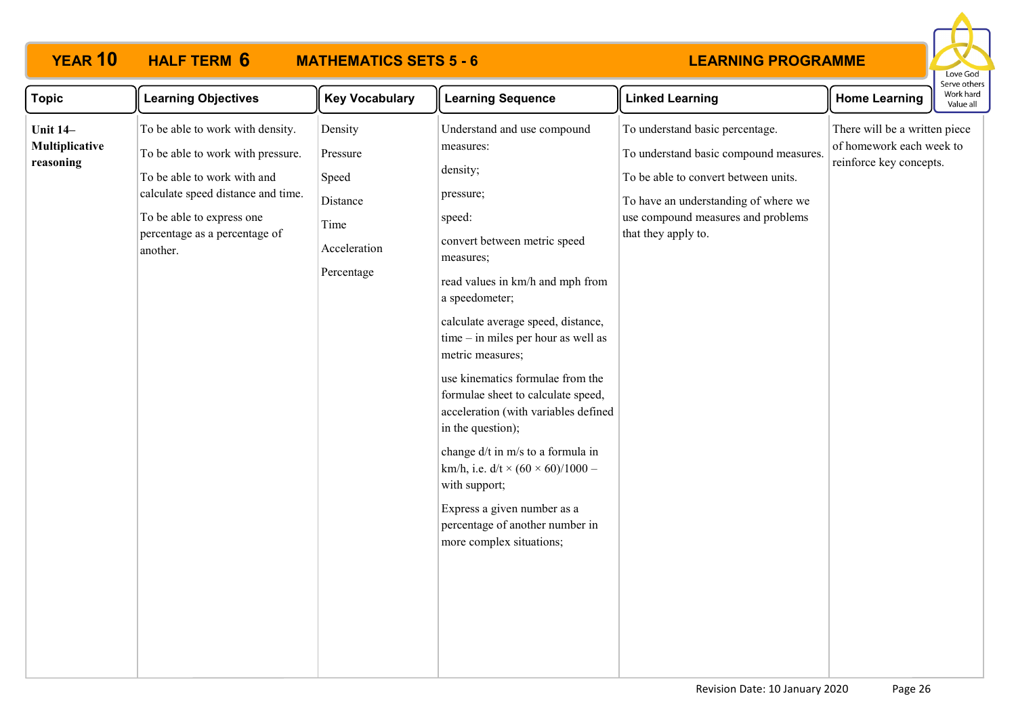# **YEAR 10 HALF TERM MATHEMATICS SETS 5 - 6**



| <b>Topic</b>                                   | <b>Learning Objectives</b>                                                                                                                                                                                           | <b>Key Vocabulary</b>                                                          | <b>Learning Sequence</b>                                                                                                                                                                                                                                                                                                                                                                                                                                                                                                                                                                                                    | <b>Linked Learning</b>                                                                                                                                                                                                 | <b>Home Learning</b>                                                                 | כו עכ טנווכו:<br>Work hard<br>Value all |
|------------------------------------------------|----------------------------------------------------------------------------------------------------------------------------------------------------------------------------------------------------------------------|--------------------------------------------------------------------------------|-----------------------------------------------------------------------------------------------------------------------------------------------------------------------------------------------------------------------------------------------------------------------------------------------------------------------------------------------------------------------------------------------------------------------------------------------------------------------------------------------------------------------------------------------------------------------------------------------------------------------------|------------------------------------------------------------------------------------------------------------------------------------------------------------------------------------------------------------------------|--------------------------------------------------------------------------------------|-----------------------------------------|
| <b>Unit 14–</b><br>Multiplicative<br>reasoning | To be able to work with density.<br>To be able to work with pressure.<br>To be able to work with and<br>calculate speed distance and time.<br>To be able to express one<br>percentage as a percentage of<br>another. | Density<br>Pressure<br>Speed<br>Distance<br>Time<br>Acceleration<br>Percentage | Understand and use compound<br>measures:<br>density;<br>pressure;<br>speed:<br>convert between metric speed<br>measures;<br>read values in km/h and mph from<br>a speedometer;<br>calculate average speed, distance,<br>time - in miles per hour as well as<br>metric measures;<br>use kinematics formulae from the<br>formulae sheet to calculate speed,<br>acceleration (with variables defined<br>in the question);<br>change d/t in m/s to a formula in<br>km/h, i.e. $d/t \times (60 \times 60)/1000 -$<br>with support;<br>Express a given number as a<br>percentage of another number in<br>more complex situations; | To understand basic percentage.<br>To understand basic compound measures.<br>To be able to convert between units.<br>To have an understanding of where we<br>use compound measures and problems<br>that they apply to. | There will be a written piece<br>of homework each week to<br>reinforce key concepts. |                                         |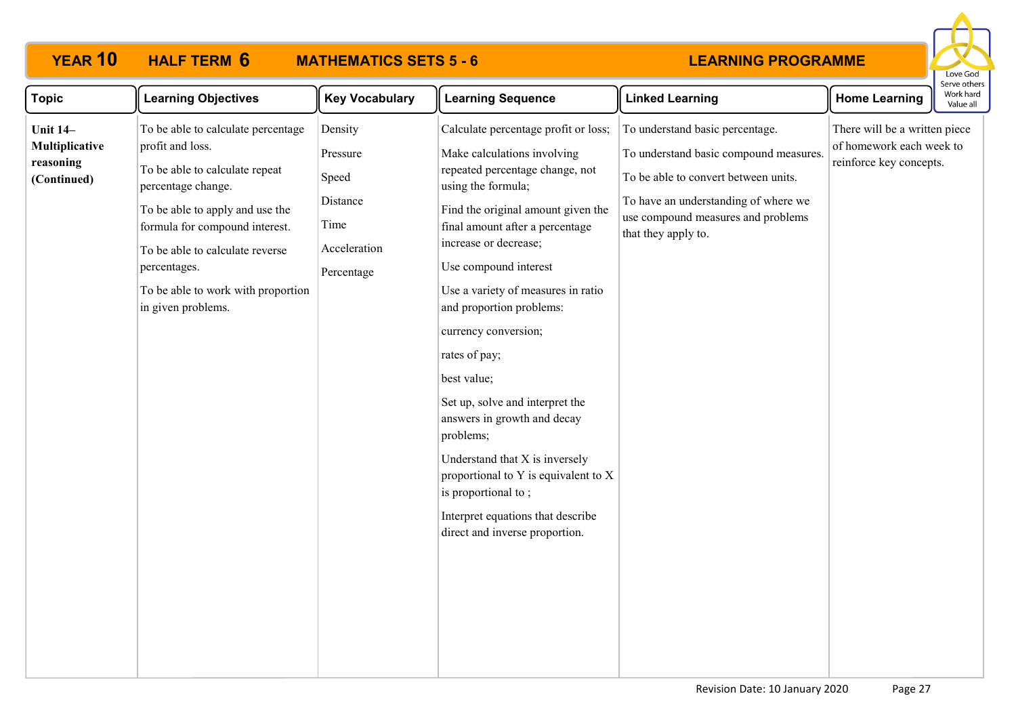# **YEAR 10 HALF TERM MATHEMATICS SETS 5 - 6**



| <b>Topic</b>                                                  | <b>Learning Objectives</b>                                                                                                                                                                                                                                                                         | <b>Key Vocabulary</b>                                                          | <b>Learning Sequence</b>                                                                                                                                                                                                                                                                                                                                                                                                                                                                                                                                                                                                                 | <b>Linked Learning</b>                                                                                                                                                                                                 | <b>Home Learning</b>                                                                 | Serve other<br>Work hard<br>Value all |
|---------------------------------------------------------------|----------------------------------------------------------------------------------------------------------------------------------------------------------------------------------------------------------------------------------------------------------------------------------------------------|--------------------------------------------------------------------------------|------------------------------------------------------------------------------------------------------------------------------------------------------------------------------------------------------------------------------------------------------------------------------------------------------------------------------------------------------------------------------------------------------------------------------------------------------------------------------------------------------------------------------------------------------------------------------------------------------------------------------------------|------------------------------------------------------------------------------------------------------------------------------------------------------------------------------------------------------------------------|--------------------------------------------------------------------------------------|---------------------------------------|
| <b>Unit 14-</b><br>Multiplicative<br>reasoning<br>(Continued) | To be able to calculate percentage<br>profit and loss.<br>To be able to calculate repeat<br>percentage change.<br>To be able to apply and use the<br>formula for compound interest.<br>To be able to calculate reverse<br>percentages.<br>To be able to work with proportion<br>in given problems. | Density<br>Pressure<br>Speed<br>Distance<br>Time<br>Acceleration<br>Percentage | Calculate percentage profit or loss;<br>Make calculations involving<br>repeated percentage change, not<br>using the formula;<br>Find the original amount given the<br>final amount after a percentage<br>increase or decrease;<br>Use compound interest<br>Use a variety of measures in ratio<br>and proportion problems:<br>currency conversion;<br>rates of pay;<br>best value;<br>Set up, solve and interpret the<br>answers in growth and decay<br>problems;<br>Understand that X is inversely<br>proportional to Y is equivalent to X<br>is proportional to;<br>Interpret equations that describe<br>direct and inverse proportion. | To understand basic percentage.<br>To understand basic compound measures.<br>To be able to convert between units.<br>To have an understanding of where we<br>use compound measures and problems<br>that they apply to. | There will be a written piece<br>of homework each week to<br>reinforce key concepts. |                                       |